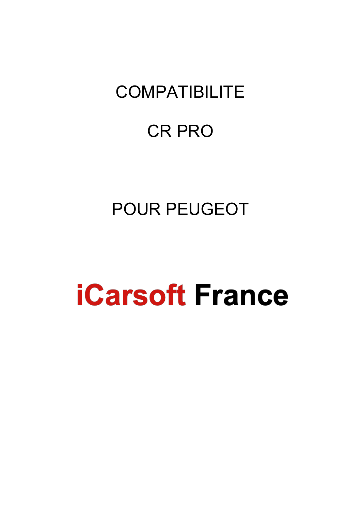# **COMPATIBILITE**

## CR PRO

# POUR PEUGEOT

# **iCarsoft France**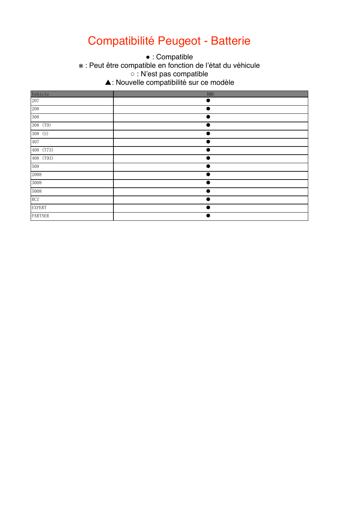### Compatibilité Peugeot - Batterie

• : Compatible

 $\mathbf{v} \cdot \mathbf{D}$ out ※ : Peut être compatible en fonction de l'état du véhicule

 $\sim$  This function may be supportible. ○ : N'est pas compatible

 $\Delta$  This function is not supported.  $\mathcal{F}_{\mathcal{A}}$  this function is the new feature in this version. ▲: Nouvelle compatibilité sur ce modèle

| Vehicle       | <b>BMS</b> |
|---------------|------------|
| 207           | ٠          |
| 208           | $\bullet$  |
| 308           |            |
| 308 (T9)      |            |
| 308 (S)       | ٠          |
| 407           |            |
| 408 (T73)     |            |
| 408 (T93)     |            |
| 508           |            |
| 2008          |            |
| 3008          |            |
| $5008\,$      |            |
| RCZ           | ٠          |
| <b>EXPERT</b> |            |
| PARTNER       |            |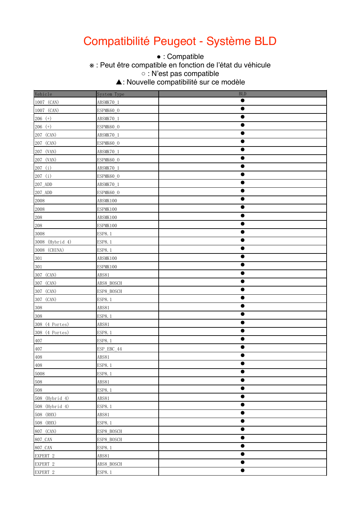### Compatibilité Peugeot - Système BLD

• : Compatible

\* : Peut être compatible en fonction de l'état du véhicule

○ : N'est pas compatible

 $\sim$  This function is not supported. ▲: Nouvelle compatibilité sur ce modèle

| Vehicle         | System Type   | <b>BLD</b> |
|-----------------|---------------|------------|
| 1007 (CAN)      | ABSMK70_1     | $\bullet$  |
| 1007 (CAN)      | ESPMK60_0     | $\bullet$  |
| $206$ (+)       | ABSMK70_1     | $\bullet$  |
| $206$ (+)       | ESPMK60_0     | $\bullet$  |
| 207 (CAN)       | ABSMK70_1     | $\bullet$  |
| 207 (CAN)       | ESPMK60_0     | $\bullet$  |
| 207 (VAN)       | ABSMK70_1     | $\bullet$  |
| 207 (VAN)       | ESPMK60_0     | $\bullet$  |
| 207(i)          | ABSMK70_1     | $\bullet$  |
| 207 (i)         | ESPMK60_0     | $\bullet$  |
| 207_ADD         | ABSMK70_1     | 0          |
| 207_ADD         | ESPMK60_0     |            |
| 2008            | ABSMK100      | $\bullet$  |
| 2008            | ESPMK100      | 0          |
| $208\,$         | ABSMK100      | $\bullet$  |
| 208             | ESPMK100      | $\bullet$  |
| 3008            | ESP8.1        | $\bullet$  |
| 3008 (Hybrid 4) | ESP8.1        | $\bullet$  |
| 3008 (CHINA)    | ESP8.1        | $\bullet$  |
| $301\,$         | ABSMK100      | $\bullet$  |
| 301             | ESPMK100      | $\bullet$  |
| 307 (CAN)       | ABS81         | 0          |
| 307 (CAN)       | ABS8_BOSCH    | $\bullet$  |
| 307 (CAN)       | ESP8_BOSCH    | $\bullet$  |
| 307 (CAN)       | ESP8.1        | $\bullet$  |
| 308             | ABS81         | e          |
| 308             | ESP8.1        | 0          |
| 308 (4 Portes)  | ABS81         | $\bullet$  |
| 308 (4 Portes)  | ESP8.1        | $\bullet$  |
| 407             | ESP8.1        | $\bullet$  |
| 407             | ESP_EBC_44    | $\bullet$  |
| 408             | ABS81         | $\bullet$  |
| 408             | <b>ESP8.1</b> |            |
| 5008            | ESP8.1        | $\bullet$  |
| 508             | ABS81         | $\bullet$  |
| 508             | ESP8.1        | $\bullet$  |
| 508 (Hybrid 4)  | ABS81         | 0          |
| 508 (Hybrid 4)  | ESP8.1        | $\bullet$  |
| 508 (RHX)       | ABS81         | $\bullet$  |
| 508 (RHX)       | ESP8.1        | $\bullet$  |
| 807 (CAN)       | ESP8_BOSCH    | 0          |
| 807_CAN         | ESP8_BOSCH    | $\bullet$  |
| 807_CAN         | ESP8.1        | $\bullet$  |
| EXPERT 2        | ABS81         | $\bullet$  |
| EXPERT 2        | ABS8_BOSCH    | $\bullet$  |
| EXPERT 2        | ESP8.1        | $\bullet$  |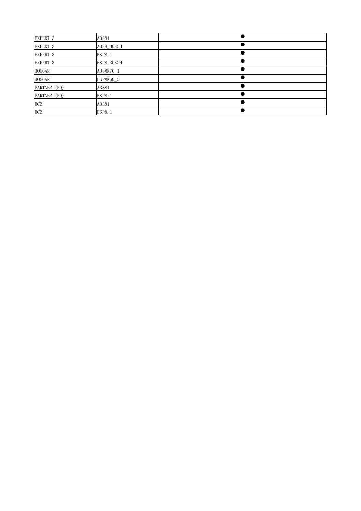| EXPERT 3     | ABS81         |  |
|--------------|---------------|--|
| EXPERT 3     | ABS8 BOSCH    |  |
| EXPERT 3     | <b>ESP8.1</b> |  |
| EXPERT 3     | ESP8 BOSCH    |  |
| HOGGAR       | ABSMK70 1     |  |
| HOGGAR       | ESPMK60 0     |  |
| PARTNER (B9) | ABS81         |  |
| PARTNER (B9) | <b>ESP8.1</b> |  |
| <b>RCZ</b>   | ABS81         |  |
| <b>RCZ</b>   | <b>ESP8.1</b> |  |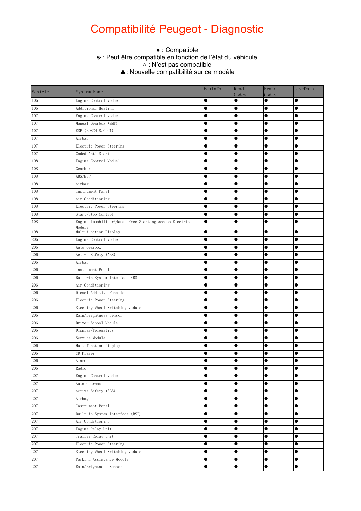### Compatibilité Peugeot - Diagnostic

#### ● This function is supported.  $\circ$  this function may be supported the actual condition of the vehicle. The vehicle  $\circ$  the vehicle  $\circ$ • : Compatible ※ : Peut être compatible en fonction de l'état du véhicule ○ : N'est pas compatible ̖: Nouvelle compatibilité sur ce modèle

| Vehicle | System Name                                                      | EcuInfo.  | Read<br>Codes | Erase<br>Codes | LiveData  |
|---------|------------------------------------------------------------------|-----------|---------------|----------------|-----------|
| 106     | Engine Control Moduel                                            | $\bullet$ | $\bullet$     | $\bullet$      | $\bullet$ |
| 106     | Additional Heating                                               | $\bullet$ | $\bullet$     | $\bullet$      | $\bullet$ |
| 107     | Engine Control Moduel                                            | $\bullet$ | $\bullet$     | $\bullet$      | $\bullet$ |
| 107     | Manual Gearbox (MMT)                                             | $\bullet$ | $\bullet$     | $\bullet$      | $\bullet$ |
| 107     | ESP (BOSCH 8.0 C1)                                               | $\bullet$ | $\bullet$     | $\bullet$      | $\bullet$ |
| 107     | Airbag                                                           | $\bullet$ |               | $\bullet$      | $\bullet$ |
| 107     | Electric Power Steering                                          |           | $\bullet$     | $\bullet$      | $\bullet$ |
| 107     | Coded Anti Start                                                 |           |               |                |           |
| 108     | Engine Control Moduel                                            |           |               |                |           |
| 108     | Gearbox                                                          |           | $\bullet$     |                |           |
| 108     | ABS/ESP                                                          |           |               |                |           |
| 108     | Airbag                                                           |           |               |                |           |
| 108     | Instrument Panel                                                 | $\bullet$ |               | $\bullet$      |           |
| 108     | Air Conditioning                                                 | $\bullet$ |               | $\bullet$      |           |
| 108     | Electric Power Steering                                          | $\bullet$ | $\bullet$     | $\bullet$      | $\bullet$ |
| 108     | Start/Stop Control                                               | $\bullet$ | $\bullet$     | $\bullet$      | $\bullet$ |
| 108     | Engine Immobiliser\Hands Free Starting Access Electric<br>Module | $\bullet$ | $\bullet$     | $\bullet$      |           |
| 108     | Multifunction Display                                            | $\bullet$ | $\bullet$     | $\bullet$      | $\bullet$ |
| 206     | Engine Control Moduel                                            | $\bullet$ | $\bullet$     | $\bullet$      | $\bullet$ |
| 206     | Auto Gearbox                                                     |           | $\bullet$     | $\bullet$      | $\bullet$ |
| 206     | Active Safety (ABS)                                              | $\bullet$ | $\bullet$     | $\bullet$      | $\bullet$ |
| 206     | Airbag                                                           | $\bullet$ | $\bullet$     | $\bullet$      |           |
| 206     | Instrument Panel                                                 | $\bullet$ |               | $\bullet$      |           |
| 206     | Built-in System Interface (BSI)                                  |           |               |                |           |
| 206     | Air Conditioning                                                 |           |               |                |           |
| 206     | Diesel Additive Function                                         |           |               |                |           |
| 206     | Electric Power Steering                                          |           |               |                |           |
| 206     | Steering Wheel Switching Module                                  | $\bullet$ |               |                |           |
| 206     | Rain/Brightness Sensor                                           | $\bullet$ | $\bullet$     | $\bullet$      |           |
| 206     | Driver School Module                                             | $\bullet$ | $\bullet$     | $\bullet$      |           |
| 206     | Display/Telematics                                               |           | $\bullet$     |                |           |
| 206     | Service Module                                                   | $\bullet$ | $\bullet$     | $\bullet$      | $\bullet$ |
| 206     | Multifunction Display                                            |           | $\bullet$     |                | $\bullet$ |
| 206     | CD Player                                                        |           |               |                |           |
| 206     | Alarm                                                            | $\bullet$ | $\bullet$     | $\bullet$      | $\bullet$ |
| 206     | Radio                                                            | $\bullet$ | $\bullet$     | $\bullet$      | $\bullet$ |
| 207     | Engine Control Moduel                                            | $\bullet$ | $\bullet$     | $\bullet$      | $\bullet$ |
| 207     | Auto Gearbox                                                     | $\bullet$ | $\bullet$     | $\bullet$      | $\bullet$ |
| 207     | Active Safety (ABS)                                              | $\bullet$ | $\bullet$     | $\bullet$      | $\bullet$ |
| $207\,$ | Airbag                                                           | $\bullet$ | $\bullet$     | $\bullet$      | $\bullet$ |
| 207     | Instrument Panel                                                 | $\bullet$ | $\bullet$     | $\bullet$      | $\bullet$ |
| 207     | Built-in System Interface (BSI)                                  | $\bullet$ | $\bullet$     | $\bullet$      | $\bullet$ |
| 207     | Air Conditioning                                                 | $\bullet$ | $\bullet$     | $\bullet$      | $\bullet$ |
| 207     | Engine Relay Unit                                                | $\bullet$ | $\bullet$     | $\bullet$      | $\bullet$ |
| 207     | Trailer Relay Unit                                               | $\bullet$ | $\bullet$     | $\bullet$      | $\bullet$ |
| 207     | Electric Power Steering                                          | $\bullet$ | $\bullet$     | $\bullet$      | $\bullet$ |
| 207     | Steering Wheel Switching Module                                  | $\bullet$ | $\bullet$     | $\bullet$      | $\bullet$ |
| 207     | Parking Assistance Module                                        | $\bullet$ | $\bullet$     | $\bullet$      | $\bullet$ |
| 207     | Rain/Brightness Sensor                                           | $\bullet$ | $\bullet$     | $\bullet$      | $\bullet$ |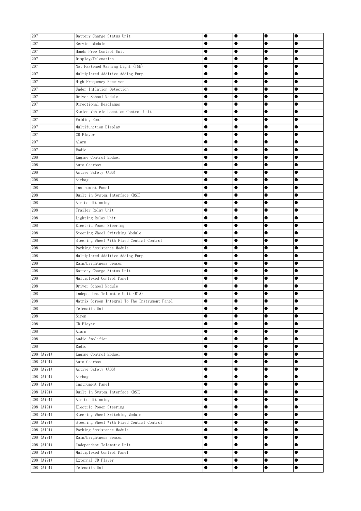| 207        | Battery Charge Status Unit                     | $\bullet$ | $\bullet$ | $\bullet$ | $\bullet$ |
|------------|------------------------------------------------|-----------|-----------|-----------|-----------|
| 207        | Service Module                                 |           |           |           |           |
| 207        | Hands Free Control Unit                        |           | $\bullet$ | $\bullet$ | Œ         |
| 207        | Display/Telematics                             |           | $\bullet$ | $\bullet$ |           |
| 207        | Not Fastened Warning Light (TNB)               |           |           |           |           |
| 207        | Multiplexed Additive Adding Pump               |           |           |           | O         |
| 207        | High Frequency Receiver                        |           |           |           |           |
| 207        | Under Inflation Detection                      |           |           | 0         |           |
| 207        | Driver School Module                           |           |           |           |           |
| 207        | Directional Headlamps                          |           |           |           |           |
| 207        | Stolen Vehicle Location Control Unit           |           |           | $\bullet$ |           |
| 207        | Folding Roof                                   | $\bullet$ | $\bullet$ |           |           |
| 207        | Multifunction Display                          | $\bullet$ | $\bullet$ |           |           |
| 207        | CD Player                                      |           | $\bullet$ |           |           |
| 207        | Alarm                                          |           | $\bullet$ |           |           |
| 207        | Radio                                          |           | $\bullet$ | $\bullet$ |           |
| 208        | Engine Control Moduel                          | $\bullet$ | $\bullet$ | $\bullet$ | 0         |
| 208        | Auto Gearbox                                   |           |           |           | 0         |
| 208        | Active Safety (ABS)                            |           |           |           |           |
| 208        | Airbag                                         | 0         |           | $\bullet$ |           |
| 208        | Instrument Panel                               |           |           | 0         |           |
| 208        | Built-in System Interface (BSI)                | $\bullet$ | $\bullet$ | $\bullet$ | $\bullet$ |
| 208        | Air Conditioning                               | $\bullet$ | $\bullet$ | $\bullet$ | $\bullet$ |
| 208        | Trailer Relay Unit                             | $\bullet$ |           |           | $\bullet$ |
| 208        | Lighting Relay Unit                            |           | $\bullet$ |           |           |
| 208        | Electric Power Steering                        | $\bullet$ | $\bullet$ | $\bullet$ | $\bullet$ |
| 208        | Steering Wheel Switching Module                |           | $\bullet$ |           |           |
| 208        | Steering Wheel With Fixed Central Control      |           | $\bullet$ | $\bullet$ |           |
| 208        | Parking Assistance Module                      |           |           | $\bullet$ |           |
| 208        | Multiplexed Additive Adding Pump               |           |           |           |           |
| 208        | Rain/Brightness Sensor                         |           |           |           |           |
| 208        | Battery Charge Status Unit                     |           |           |           | 0         |
| 208        | Multiplexed Control Panel                      |           |           | 0         | 0         |
| 208        | Driver School Module                           |           |           |           |           |
| 208        | Independent Telematic Unit (BTA)               | $\bullet$ | 0         | ۰         |           |
| 208        | Matrix Screen Integral To The Instrument Panel | 0         |           |           |           |
| 208        | Telematic Unit                                 |           | $\bullet$ | $\bullet$ | 0         |
| 208        | Siren                                          | $\bullet$ | $\bullet$ | $\bullet$ | $\bullet$ |
| 208        | CD Player                                      | $\bullet$ | $\bullet$ | $\bullet$ | $\bullet$ |
| 208        | Alarm                                          | $\bullet$ | $\bullet$ | $\bullet$ | $\bullet$ |
| 208        | Audio Amplifier                                | $\bullet$ | $\bullet$ | $\bullet$ |           |
| 208        | Radio                                          | $\bullet$ | $\bullet$ | $\bullet$ |           |
| 208 (Ai91) | Engine Control Moduel                          |           |           |           |           |
| 208 (Ai91) | Auto Gearbox                                   |           | $\bullet$ |           |           |
| 208 (Ai91) | Active Safety (ABS)                            | $\bullet$ | $\bullet$ | $\bullet$ |           |
| 208 (Ai91) | Airbag                                         | $\bullet$ |           |           |           |
| 208 (Ai91) | Instrument Panel                               | $\bullet$ | $\bullet$ |           | $\bullet$ |
| 208 (Ai91) | Built-in System Interface (BSI)                | $\bullet$ | $\bullet$ | $\bullet$ | $\bullet$ |
| 208 (Ai91) | Air Conditioning                               | $\bullet$ |           | $\bullet$ | $\bullet$ |
| 208 (Ai91) | Electric Power Steering                        | $\bullet$ | $\bullet$ |           |           |
| 208 (Ai91) | Steering Wheel Switching Module                | $\bullet$ | $\bullet$ | $\bullet$ | $\bullet$ |
| 208 (Ai91) | Steering Wheel With Fixed Central Control      | $\bullet$ | $\bullet$ | $\bullet$ | 0         |
| 208 (Ai91) | Parking Assistance Module                      | $\bullet$ | $\bullet$ | $\bullet$ |           |
| 208 (Ai91) | Rain/Brightness Sensor                         | $\bullet$ | $\bullet$ | $\bullet$ |           |
| 208 (Ai91) | Independent Telematic Unit                     | $\bullet$ | $\bullet$ | $\bullet$ |           |
| 208 (Ai91) | Multiplexed Control Panel                      |           | $\bullet$ |           |           |
| 208 (Ai91) | External CD Player                             |           | $\bullet$ |           | $\bullet$ |
| 208 (Ai91) | Telematic Unit                                 | $\bullet$ | $\bullet$ | $\bullet$ | $\bullet$ |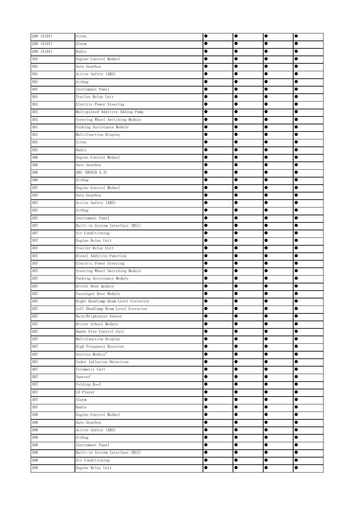| 208 (Ai91) | Siren                               | $\bullet$ | $\bullet$ | $\bullet$ | $\bullet$ |
|------------|-------------------------------------|-----------|-----------|-----------|-----------|
| 208 (Ai91) | Alarm                               | $\bullet$ | $\bullet$ | $\bullet$ |           |
| 208 (Ai91) | Radio                               |           | $\bullet$ | $\bullet$ |           |
| 301        | Engine Control Moduel               | $\bullet$ | $\bullet$ | $\bullet$ | $\bullet$ |
| 301        | Auto Gearbox                        | 0         |           |           |           |
| 301        | Active Safety (ABS)                 |           |           |           |           |
| 301        | Airbag                              | 0         | $\bullet$ |           | 0         |
| 301        | Instrument Panel                    | 0         |           | 0         | 0         |
| $301\,$    | Trailer Relay Unit                  | 0         |           | $\bullet$ |           |
| 301        | Electric Power Steering             | $\bullet$ | $\bullet$ | $\bullet$ | $\bullet$ |
| 301        | Multiplexed Additive Adding Pump    | $\bullet$ |           | $\bullet$ | $\bullet$ |
| 301        | Steering Wheel Switching Module     | $\bullet$ | $\bullet$ | $\bullet$ | $\bullet$ |
| 301        | Parking Assistance Module           | $\bullet$ | $\bullet$ | $\bullet$ | $\bullet$ |
| 301        | Multifunction Display               | 0         | $\bullet$ | $\bullet$ |           |
| 301        | Siren                               | 0         | $\bullet$ | $\bullet$ |           |
| 301        | Radio                               | $\bullet$ | $\bullet$ | $\bullet$ |           |
| 306        | Engine Control Moduel               | $\bullet$ | $\bullet$ | $\bullet$ | $\bullet$ |
| 306        | Auto Gearbox                        | 0         |           | $\bullet$ |           |
| 306        | ABS (BOSCH 5.3)                     |           | $\bullet$ | $\bullet$ |           |
| 306        | Airbag                              | 0         | $\bullet$ | $\bullet$ |           |
| 307        | Engine Control Moduel               | $\bullet$ |           | $\bullet$ |           |
| 307        | Auto Gearbox                        | $\bullet$ | $\bullet$ | $\bullet$ | $\bullet$ |
| 307        | Active Safety (ABS)                 | $\bullet$ | $\bullet$ | $\bullet$ | $\bullet$ |
| 307        | Airbag                              | $\bullet$ |           | $\bullet$ | $\bullet$ |
| 307        | Instrument Panel                    | 0         | $\bullet$ | $\bullet$ | $\bullet$ |
| 307        | Built-in System Interface (BSI)     | $\bullet$ | $\bullet$ | $\bullet$ | $\bullet$ |
| 307        | Air Conditioning                    |           | $\bullet$ | $\bullet$ | $\bullet$ |
| 307        | Engine Relay Unit                   | 0         | $\bullet$ | $\bullet$ | $\bullet$ |
| 307        | Trailer Relay Unit                  | ●         | $\bullet$ | $\bullet$ | $\bullet$ |
| 307        | Diesel Additive Function            | 0         |           | $\bullet$ |           |
| 307        | Electric Power Steering             |           |           |           |           |
| 307        | Steering Wheel Switching Module     | 0         | $\bullet$ | $\bullet$ |           |
| 307        | Parking Assistance Module           | 0         |           | 0         |           |
| 307        | Driver Door module                  | 0         |           | $\bullet$ |           |
| 307        | Passenger Door Module               | ●         |           |           |           |
| 307        | Right Headlamp Beam Level Corrector | 0         |           | Ð         | e         |
| 307        | Left Headlamp Beam Level Corrector  | e         | $\bullet$ |           | $\bullet$ |
| 307        | Rain/Brightness Sensor              | $\bullet$ | $\bullet$ | $\bullet$ | $\bullet$ |
| 307        | Driver School Module                | $\bullet$ | $\bullet$ | $\bullet$ | $\bullet$ |
| 307        | Hands Free Control Unit             | $\bullet$ | $\bullet$ | $\bullet$ | $\bullet$ |
| 307        | Multifunction Display               | $\bullet$ | $\bullet$ | $\bullet$ | $\bullet$ |
| 307        | High Frequency Receiver             | $\bullet$ | $\bullet$ | $\bullet$ | $\bullet$ |
| 307        | Service Module"                     | $\bullet$ | $\bullet$ | $\bullet$ |           |
| 307        | Under Inflation Detection           | 0         | $\bullet$ | $\bullet$ |           |
| 307        | Telematic Unit                      | $\bullet$ | $\bullet$ | $\bullet$ |           |
| 307        | Sunroof                             | $\bullet$ | $\bullet$ | $\bullet$ |           |
| $307\,$    | Folding Roof                        | $\bullet$ | $\bullet$ | $\bullet$ | $\bullet$ |
| 307        | CD Player                           | $\bullet$ | $\bullet$ | $\bullet$ | $\bullet$ |
| 307        | Alarm                               | $\bullet$ | $\bullet$ | $\bullet$ | $\bullet$ |
| 307        | Radio                               | $\bullet$ | $\bullet$ | $\bullet$ | $\bullet$ |
| 308        | Engine Control Moduel               | $\bullet$ | $\bullet$ | $\bullet$ | $\bullet$ |
| 308        | Auto Gearbox                        |           | $\bullet$ | $\bullet$ |           |
| 308        | Active Safety (ABS)                 |           | $\bullet$ | $\bullet$ |           |
| 308        | Airbag                              | $\bullet$ | $\bullet$ | $\bullet$ | $\bullet$ |
| 308        | Instrument Panel                    | $\bullet$ | $\bullet$ | $\bullet$ | $\bullet$ |
| 308        | Built-in System Interface (BSI)     | 0         | $\bullet$ |           |           |
| 308        | Air Conditioning                    | $\bullet$ | $\bullet$ | $\bullet$ | $\bullet$ |
| $308\,$    | Engine Relay Unit                   | $\bullet$ | $\bullet$ | $\bullet$ | $\bullet$ |
|            |                                     |           |           |           |           |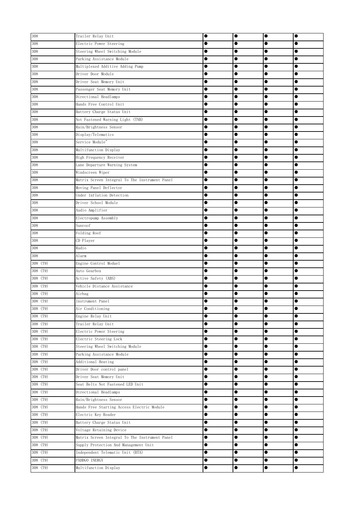| 308        | Trailer Relay Unit                             | $\bullet$ | $\bullet$ | $\bullet$ | $\bullet$ |
|------------|------------------------------------------------|-----------|-----------|-----------|-----------|
| 308        | Electric Power Steering                        |           |           | $\bullet$ |           |
| 308        | Steering Wheel Switching Module                |           | $\bullet$ | $\bullet$ |           |
| 308        | Parking Assistance Module                      |           |           | $\bullet$ |           |
| 308        | Multiplexed Additive Adding Pump               |           |           |           |           |
| 308        | Driver Door Module                             |           |           |           |           |
| 308        | Driver Seat Memory Unit                        | 0         |           |           |           |
| 308        | Passenger Seat Memory Unit                     |           | 0         |           |           |
| 308        | Directional Headlamps                          |           |           |           |           |
| 308        | Hands Free Control Unit                        |           |           | $\bullet$ |           |
| 308        | Battery Charge Status Unit                     | $\bullet$ |           | $\bullet$ |           |
| 308        | Not Fastened Warning Light (TNB)               |           | $\bullet$ |           |           |
| 308        | Rain/Brightness Sensor                         | ●         | $\bullet$ | $\bullet$ | ●         |
| 308        | Display/Telematics                             | 0         | $\bullet$ | $\bullet$ |           |
| 308        | Service Module"                                |           | $\bullet$ | $\bullet$ |           |
| 308        | Multifunction Display                          |           | $\bullet$ | $\bullet$ |           |
| 308        | High Frequency Receiver                        | $\bullet$ | $\bullet$ | $\bullet$ |           |
| 308        | Lane Departure Warning System                  |           | $\bullet$ |           |           |
| 308        | Windscreen Wiper                               |           | $\bullet$ |           |           |
| 308        | Matrix Screen Integral To The Instrument Panel | $\bullet$ | $\bullet$ | $\bullet$ |           |
| 308        | Moving Panel Deflector                         |           |           | $\bullet$ |           |
| 308        | Under Inflation Detection                      | $\bullet$ |           | $\bullet$ | $\bullet$ |
| 308        | Driver School Module                           | $\bullet$ | $\bullet$ | $\bullet$ | $\bullet$ |
| 308        | Audio Amplifier                                |           | $\bullet$ | $\bullet$ | $\bullet$ |
| 308        | Electropump Assembly                           |           | $\bullet$ |           | $\bullet$ |
| 308        | Sunroof                                        | $\bullet$ | $\bullet$ | $\bullet$ | $\bullet$ |
| 308        | Folding Roof                                   |           | $\bullet$ | $\bullet$ |           |
| 308        | CD Player                                      |           |           | $\bullet$ |           |
| 308        | Radio                                          |           |           | $\bullet$ |           |
| 308        | Alarm                                          |           |           |           |           |
| 308 (T9)   | Engine Control Moduel                          |           |           |           |           |
| 308 (T9)   | Auto Gearbox                                   |           |           |           |           |
| 308 (T9)   | Active Safety (ABS)                            |           |           |           |           |
| 308 (T9)   | Vehicle Distance Assistance                    |           | 0         |           |           |
| $308$ (T9) | Airbag                                         |           | 0         | 0         |           |
| 308 (T9)   | Instrument Panel                               |           |           |           |           |
| 308 (T9)   | Air Conditioning                               |           | ●         | c         |           |
| 308 (T9)   | Engine Relay Unit                              | $\bullet$ | $\bullet$ | $\bullet$ | $\bullet$ |
| $308$ (T9) | Trailer Relay Unit                             | $\bullet$ | $\bullet$ | $\bullet$ | 0         |
| 308 (T9)   | Electric Power Steering                        | $\bullet$ | $\bullet$ | $\bullet$ |           |
| 308 (T9)   | Electric Steering Lock                         | $\bullet$ | $\bullet$ | $\bullet$ |           |
| 308 (T9)   | Steering Wheel Switching Module                | $\bullet$ | $\bullet$ | $\bullet$ |           |
| 308 (T9)   | Parking Assistance Module                      | $\bullet$ |           |           |           |
| 308 (T9)   | Additional Heating                             |           | $\bullet$ |           |           |
| 308 (T9)   | Driver Door control panel                      | $\bullet$ | $\bullet$ | $\bullet$ |           |
| 308 (T9)   | Driver Seat Memory Unit                        | $\bullet$ | $\bullet$ | $\bullet$ |           |
| 308 (T9)   | Seat Belts Not Fastened LED Unit               | $\bullet$ |           | $\bullet$ |           |
| 308 (T9)   | Directional Headlamps                          | $\bullet$ | $\bullet$ | $\bullet$ | $\bullet$ |
| 308 (T9)   | Rain/Brightness Sensor                         | $\bullet$ | $\bullet$ | $\bullet$ | $\bullet$ |
| 308 (T9)   | Hands Free Starting Access Electric Module     | $\bullet$ | $\bullet$ |           | $\bullet$ |
| 308 (T9)   | Electric Key Reader                            | $\bullet$ | $\bullet$ | $\bullet$ | $\bullet$ |
| 308 (T9)   | Battery Charge Status Unit                     |           | $\bullet$ | $\bullet$ |           |
| 308 (T9)   | Voltage Retaining Device                       | $\bullet$ | $\bullet$ | $\bullet$ |           |
| 308 (T9)   | Matrix Screen Integral To The Instrument Panel | $\bullet$ | $\bullet$ | $\bullet$ |           |
| 308(19)    | Supply Protection And Management Unit          | $\bullet$ | $\bullet$ | $\bullet$ |           |
| 308 (T9)   | Independent Telematic Unit (BTA)               |           | $\bullet$ |           |           |
| 308 (T9)   | PADDGO INERGY                                  | $\bullet$ | $\bullet$ | $\bullet$ | $\bullet$ |
| 308 (T9)   | Multifunction Display                          | $\bullet$ | $\bullet$ | $\bullet$ | $\bullet$ |
|            |                                                |           |           |           |           |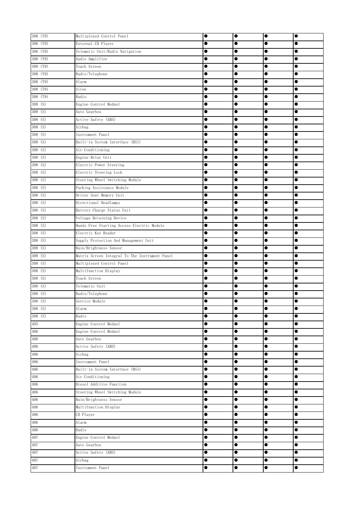| 308 (T9)             | Multiplexed Control Panel                      |           | $\bullet$ | $\bullet$ |           |
|----------------------|------------------------------------------------|-----------|-----------|-----------|-----------|
| 308 (T9)             | External CD Player                             |           |           | $\bullet$ |           |
| 308 (T9)             | Telematic Unit/Radio Navigation                |           | $\bullet$ | $\bullet$ |           |
| 308 (T9)             | Audio Amplifier                                |           |           | $\bullet$ |           |
| 308 (T9)             | Touch Screen                                   |           |           |           |           |
| 308 (T9)             | Radio/Telephone                                | 0         | $\bullet$ |           |           |
| 308 (T9)             | Alarm                                          |           |           | $\bullet$ |           |
| 308 (T9)             | Siren                                          | $\bullet$ |           | $\bullet$ |           |
| 308 (T9)             | Radio                                          | $\bullet$ | $\bullet$ | $\bullet$ | $\bullet$ |
| 308 (S)              | Engine Control Moduel                          | $\bullet$ | $\bullet$ | $\bullet$ |           |
| 308 (S)              | Auto Gearbox                                   | $\bullet$ | $\bullet$ | $\bullet$ | $\bullet$ |
| $308$ (S)            | Active Safety (ABS)                            |           | $\bullet$ | $\bullet$ |           |
| 308(S)               | Airbag                                         | $\bullet$ | $\bullet$ | $\bullet$ | 0         |
| 308(S)               | Instrument Panel                               |           | $\bullet$ | $\bullet$ |           |
| 308(S)               | Built-in System Interface (BSI)                |           | $\bullet$ | $\bullet$ |           |
| $308$ (S)            | Air Conditioning                               |           | $\bullet$ | $\bullet$ |           |
| 308 $(\overline{S})$ | Engine Relay Unit                              |           | $\bullet$ | $\bullet$ |           |
| 308(S)               | Electric Power Steering                        |           | $\bullet$ |           |           |
| 308 (S)              | Electric Steering Lock                         | $\bullet$ | $\bullet$ | $\bullet$ |           |
| 308 (S)              | Steering Wheel Switching Module                |           | $\bullet$ | $\bullet$ |           |
| 308(5)               | Parking Assistance Module                      |           | $\bullet$ | $\bullet$ |           |
| 308 (S)              | Driver Seat Memory Unit                        | $\bullet$ | $\bullet$ | $\bullet$ | $\bullet$ |
| 308 (S)              | Directional Headlamps                          | $\bullet$ | $\bullet$ | $\bullet$ | $\bullet$ |
| 308(S)               | Battery Charge Status Unit                     |           | $\bullet$ | $\bullet$ | $\bullet$ |
| 308 (S)              | Voltage Retaining Device                       | $\bullet$ | $\bullet$ | $\bullet$ | $\bullet$ |
| 308 (S)              | Hands Free Starting Access Electric Module     |           | $\bullet$ | $\bullet$ |           |
| 308 (S)              | Electric Key Reader                            |           |           | $\bullet$ |           |
| $308$ (S)            | Supply Protection And Management Unit          |           | $\bullet$ | $\bullet$ |           |
| $308$ (S)            | Rain/Brightness Sensor                         | $\bullet$ | $\bullet$ | $\bullet$ |           |
| 308(S)               | Matrix Screen Integral To The Instrument Panel | $\bullet$ |           | $\bullet$ |           |
| 308 (S)              | Multiplexed Control Panel                      |           | $\bullet$ |           |           |
| 308 (S)              | Multifunction Display                          |           |           | $\bullet$ |           |
| 308 (S)              | Touch Screen                                   |           |           |           |           |
| $308$ (S)            | Telematic Unit                                 |           | $\bullet$ | $\bullet$ |           |
| 308 (S)              | Radio/Telephone                                |           |           | $\bullet$ |           |
| 308 (S)              | Service Module                                 |           | 0         | $\bullet$ | e         |
| 308(S)               | Alarm                                          |           | $\bullet$ | $\bullet$ | $\bullet$ |
| $308$ (S)            | Radio                                          | $\bullet$ | $\bullet$ | $\bullet$ |           |
| 405                  | Engine Control Moduel                          | $\bullet$ | $\bullet$ | $\bullet$ |           |
| 406                  | Engine Control Moduel                          | $\bullet$ | $\bullet$ | $\bullet$ |           |
| 406                  | Auto Gearbox                                   | $\bullet$ | $\bullet$ | $\bullet$ | $\bullet$ |
| 406                  | Active Safety (ABS)                            |           | $\bullet$ | $\bullet$ |           |
| 406                  | Airbag                                         |           | $\bullet$ |           |           |
| 406                  | Instrument Panel                               | $\bullet$ | $\bullet$ |           |           |
| 406                  | Built-in System Interface (BSI)                | $\bullet$ | $\bullet$ |           |           |
| 406                  | Air Conditioning                               | $\bullet$ |           | $\bullet$ |           |
| 406                  | Diesel Additive Function                       | $\bullet$ | $\bullet$ | $\bullet$ | $\bullet$ |
| 406                  | Steering Wheel Switching Module                | $\bullet$ | $\bullet$ | $\bullet$ | $\bullet$ |
| 406                  | Rain/Brightness Sensor                         | $\bullet$ | $\bullet$ | $\bullet$ | $\bullet$ |
| 406                  | Multifunction Display                          | $\bullet$ | $\bullet$ | $\bullet$ | $\bullet$ |
| 406                  | CD Player                                      | $\bullet$ | $\bullet$ | $\bullet$ |           |
| 406                  | Alarm                                          | $\bullet$ | $\bullet$ | $\bullet$ | $\bullet$ |
| 406                  | Radio                                          | $\bullet$ | $\bullet$ | $\bullet$ |           |
| 407                  | Engine Control Moduel                          | $\bullet$ | $\bullet$ | $\bullet$ | $\bullet$ |
| 407                  | Auto Gearbox                                   | $\bullet$ | $\bullet$ | $\bullet$ | $\bullet$ |
| 407                  | Active Safety (ABS)                            | $\bullet$ | $\bullet$ |           | $\bullet$ |
| 407                  | Airbag                                         | $\bullet$ | $\bullet$ | $\bullet$ | $\bullet$ |
| 407                  | Instrument Panel                               | $\bullet$ | $\bullet$ | $\bullet$ | $\bullet$ |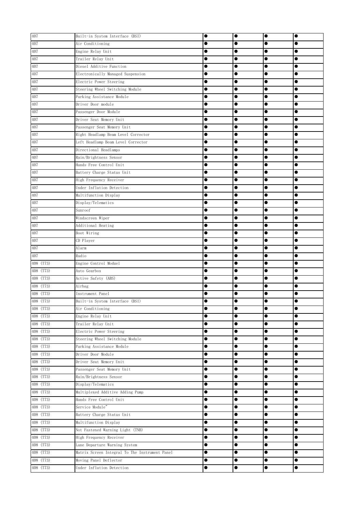| 407       | Built-in System Interface (BSI)                |           | $\bullet$ | $\bullet$ |           |
|-----------|------------------------------------------------|-----------|-----------|-----------|-----------|
| 407       | Air Conditioning                               | $\bullet$ | $\bullet$ | $\bullet$ |           |
| 407       | Engine Relay Unit                              |           | $\bullet$ | $\bullet$ |           |
| 407       | Trailer Relay Unit                             |           |           | $\bullet$ |           |
| 407       | Diesel Additive Function                       |           |           |           |           |
| 407       | Electronically Managed Suspension              |           | $\bullet$ |           |           |
| 407       | Electric Power Steering                        |           |           |           |           |
| 407       | Steering Wheel Switching Module                | 0         | $\bullet$ | $\bullet$ |           |
| 407       | Parking Assistance Module                      |           |           |           | ●         |
| 407       | Driver Door module                             |           |           |           | ●         |
| 407       | Passenger Door Module                          | $\bullet$ |           |           |           |
| 407       | Driver Seat Memory Unit                        | 0         |           | $\bullet$ |           |
| 407       | Passenger Seat Memory Unit                     | 0         | $\bullet$ |           |           |
| 407       | Right Headlamp Beam Level Corrector            | $\bullet$ | $\bullet$ | $\bullet$ |           |
| 407       | Left Headlamp Beam Level Corrector             |           | $\bullet$ |           |           |
| 407       | Directional Headlamps                          |           | $\bullet$ | $\bullet$ |           |
| 407       | Rain/Brightness Sensor                         |           | $\bullet$ | $\bullet$ |           |
| 407       | Hands Free Control Unit                        |           | $\bullet$ | $\bullet$ |           |
| 407       | Battery Charge Status Unit                     |           | $\bullet$ |           |           |
| 407       | High Frequency Receiver                        |           | $\bullet$ |           |           |
| 407       | Under Inflation Detection                      | 0         |           | $\bullet$ |           |
| 407       | Multifunction Display                          | $\bullet$ |           |           | $\bullet$ |
| 407       | Display/Telematics                             | $\bullet$ |           | $\bullet$ | $\bullet$ |
| 407       | Sunroof                                        | $\bullet$ | $\bullet$ | $\bullet$ | $\bullet$ |
| 407       | Windscreen Wiper                               | $\bullet$ | $\bullet$ | $\bullet$ | $\bullet$ |
| 407       | Additional Heating                             |           | $\bullet$ |           |           |
| 407       | Boot Wiring                                    |           | $\bullet$ | $\bullet$ |           |
| 407       | CD Player                                      |           | $\bullet$ | $\bullet$ |           |
| 407       | Alarm                                          |           |           | $\bullet$ |           |
| 407       | Radio                                          |           | $\bullet$ | $\bullet$ |           |
| 408 (T73) | Engine Control Moduel                          |           | $\bullet$ |           |           |
| 408 (T73) | Auto Gearbox                                   |           |           |           |           |
| 408 (T73) | Active Safety (ABS)                            | 0         |           | $\bullet$ |           |
| 408 (T73) | Airbag                                         |           |           |           | ●         |
| 408 (T73) | Instrument Panel                               |           | O         |           |           |
| 408 (T73) | Built-in System Interface (BSI)                |           |           | n         | o         |
| 408 (T73) | Air Conditioning                               |           |           |           |           |
| 408 (T73) | Engine Relay Unit                              |           | $\bullet$ | $\bullet$ |           |
| 408 (T73) | Trailer Relay Unit                             | $\bullet$ | $\bullet$ | $\bullet$ | $\bullet$ |
| 408 (T73) | Electric Power Steering                        | $\bullet$ | $\bullet$ | $\bullet$ |           |
| 408 (T73) | Steering Wheel Switching Module                | $\bullet$ |           | $\bullet$ |           |
| 408 (T73) | Parking Assistance Module                      | $\bullet$ | $\bullet$ |           |           |
| 408 (T73) | Driver Door Module                             | $\bullet$ | $\bullet$ | $\bullet$ |           |
| 408 (T73) | Driver Seat Memory Unit                        | $\bullet$ | $\bullet$ |           |           |
| 408 (T73) | Passenger Seat Memory Unit                     |           | $\bullet$ |           |           |
| 408 (T73) | Rain/Brightness Sensor                         |           | $\bullet$ | $\bullet$ |           |
| 408 (T73) | Display/Telematics                             |           | $\bullet$ | $\bullet$ |           |
| 408 (T73) | Multiplexed Additive Adding Pump               | $\bullet$ | $\bullet$ | $\bullet$ |           |
| 408 (T73) | Hands Free Control Unit                        | $\bullet$ | $\bullet$ | $\bullet$ |           |
| 408 (T73) | Service Module"                                | $\bullet$ | $\bullet$ | $\bullet$ |           |
| 408 (T73) | Battery Charge Status Unit                     |           | $\bullet$ | $\bullet$ |           |
| 408 (T73) | Multifunction Display                          | $\bullet$ | $\bullet$ | $\bullet$ | $\bullet$ |
| 408 (T73) | Not Fastened Warning Light (TNB)               | $\bullet$ | $\bullet$ | $\bullet$ |           |
| 408 (T73) | High Frequency Receiver                        | $\bullet$ | $\bullet$ | $\bullet$ |           |
| 408 (T73) | Lane Departure Warning System                  | $\bullet$ | $\bullet$ | $\bullet$ | $\bullet$ |
| 408 (T73) | Matrix Screen Integral To The Instrument Panel | $\bullet$ | $\bullet$ |           |           |
| 408 (T73) | Moving Panel Deflector                         |           | $\bullet$ |           |           |
| 408 (T73) | Under Inflation Detection                      | $\bullet$ | $\bullet$ | $\bullet$ | $\bullet$ |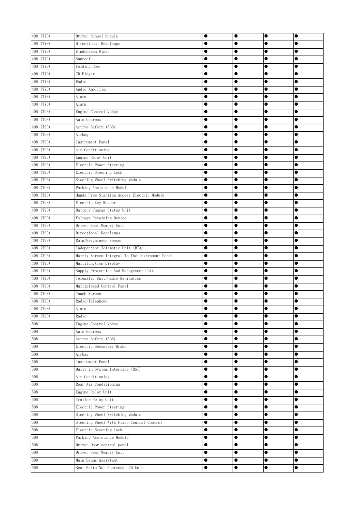| 408 (T73) | Driver School Module                           | $\bullet$ | $\bullet$ | $\bullet$ | $\bullet$ |
|-----------|------------------------------------------------|-----------|-----------|-----------|-----------|
| 408 (T73) | Directional Headlamps                          |           |           |           |           |
| 408 (T73) | Windscreen Wiper                               |           | $\bullet$ | $\bullet$ |           |
| 408 (T73) | Sunroof                                        |           | $\bullet$ |           |           |
| 408 (T73) | Folding Roof                                   |           | $\bullet$ |           |           |
| 408 (T73) | CD Player                                      |           | $\bullet$ | $\bullet$ | 0         |
| 408 (T73) | Radio                                          |           |           | $\bullet$ | $\bullet$ |
| 408 (T73) | Audio Amplifier                                | $\bullet$ |           | $\bullet$ |           |
| 408 (T73) | Alarm                                          | $\bullet$ | $\bullet$ | $\bullet$ |           |
| 408 (T73) | Alarm                                          | $\bullet$ | $\bullet$ | $\bullet$ | $\bullet$ |
| 408 (T93) | Engine Control Moduel                          |           | $\bullet$ |           |           |
| 408 (T93) | Auto Gearbox                                   | $\bullet$ | $\bullet$ | $\bullet$ | $\bullet$ |
| 408 (T93) | Active Safety (ABS)                            | $\bullet$ | $\bullet$ | $\bullet$ |           |
| 408 (T93) | Airbag                                         | $\bullet$ | $\bullet$ | $\bullet$ |           |
| 408 (T93) | Instrument Panel                               | $\bullet$ | $\bullet$ | $\bullet$ |           |
| 408 (T93) | Air Conditioning                               | $\bullet$ | $\bullet$ | $\bullet$ |           |
| 408 (T93) | Engine Relay Unit                              |           | $\bullet$ |           |           |
| 408 (T93) | Electric Power Steering                        |           | $\bullet$ |           |           |
| 408 (T93) | Electric Steering Lock                         | $\bullet$ |           | $\bullet$ | $\bullet$ |
| 408 (T93) | Steering Wheel Switching Module                | $\bullet$ |           | $\bullet$ |           |
| 408 (T93) | Parking Assistance Module                      | $\bullet$ | $\bullet$ | $\bullet$ | $\bullet$ |
| 408 (T93) | Hands Free Starting Access Electric Module     | $\bullet$ | $\bullet$ | $\bullet$ | $\bullet$ |
| 408 (T93) | Electric Key Reader                            | $\bullet$ | $\bullet$ | $\bullet$ | $\bullet$ |
| 408 (T93) | Battery Charge Status Unit                     | $\bullet$ | $\bullet$ | $\bullet$ | $\bullet$ |
| 408 (T93) | Voltage Retaining Device                       | $\bullet$ | $\bullet$ | $\bullet$ |           |
| 408 (T93) | Driver Seat Memory Unit                        | $\bullet$ | $\bullet$ | $\bullet$ | $\bullet$ |
| 408 (T93) | Directional Headlamps                          |           | $\bullet$ | $\bullet$ |           |
| 408 (T93) | Rain/Brightness Sensor                         |           |           | $\bullet$ |           |
| 408 (T93) | Independent Telematic Unit (BTA)               |           |           | $\bullet$ |           |
| 408 (T93) | Matrix Screen Integral To The Instrument Panel |           | $\bullet$ | 0         |           |
| 408 (T93) | Multifunction Display                          |           |           | 0         | ●         |
| 408 (T93) | Supply Protection And Management Unit          | $\bullet$ |           | 0         | $\bullet$ |
| 408 (T93) | Telematic Unit/Radio Navigation                | $\bullet$ |           |           |           |
| 408 (T93) | Multiplexed Control Panel                      | $\bullet$ | $\bullet$ | $\bullet$ |           |
| 408 (T93) | Touch Screen                                   |           |           | 0         | 0         |
| 408 (T93) | Radio/Telephone                                |           | e         | œ         |           |
| 408 (T93) | Alarm                                          | $\bullet$ | $\bullet$ | $\bullet$ | $\bullet$ |
| 408 (T93) | Radio                                          | $\bullet$ | $\bullet$ | $\bullet$ |           |
| 508       | Engine Control Moduel                          | $\bullet$ | $\bullet$ | $\bullet$ |           |
| 508       | Auto Gearbox                                   | $\bullet$ | $\bullet$ | $\bullet$ | $\bullet$ |
| 508       | Active Safety (ABS)                            | $\bullet$ | $\bullet$ | $\bullet$ |           |
| 508       | Electric Secondary Brake                       |           | $\bullet$ |           |           |
| 508       | Airbag                                         | $\bullet$ | $\bullet$ | $\bullet$ |           |
| 508       | Instrument Panel                               | $\bullet$ |           |           |           |
| 508       | Built-in System Interface (BSI)                | $\bullet$ |           | $\bullet$ | $\bullet$ |
| 508       | Air Conditioning                               | $\bullet$ | $\bullet$ | $\bullet$ | $\bullet$ |
| 508       | Rear Air Conditioning                          | $\bullet$ | $\bullet$ | $\bullet$ | $\bullet$ |
| 508       | Engine Relay Unit                              | $\bullet$ | $\bullet$ | $\bullet$ | $\bullet$ |
| 508       | Trailer Relay Unit                             | $\bullet$ | $\bullet$ | $\bullet$ | $\bullet$ |
| 508       | Electric Power Steering                        | $\bullet$ | $\bullet$ | $\bullet$ |           |
| 508       | Steering Wheel Switching Module                | $\bullet$ | $\bullet$ | $\bullet$ |           |
| 508       | Steering Wheel With Fixed Central Control      | $\bullet$ | $\bullet$ | $\bullet$ | $\bullet$ |
| 508       | Electric Steering Lock                         | $\bullet$ | $\bullet$ | $\bullet$ |           |
| 508       | Parking Assistance Module                      | $\bullet$ | $\bullet$ | $\bullet$ |           |
| 508       | Driver Door control panel                      | $\bullet$ | $\bullet$ |           |           |
| 508       | Driver Seat Memory Unit                        | $\bullet$ | $\bullet$ | $\bullet$ |           |
| 508       | Main Beams Assistant                           | $\bullet$ | $\bullet$ | $\bullet$ | $\bullet$ |
| $508\,$   | Seat Belts Not Fastened LED Unit               | $\bullet$ | $\bullet$ | $\bullet$ | $\bullet$ |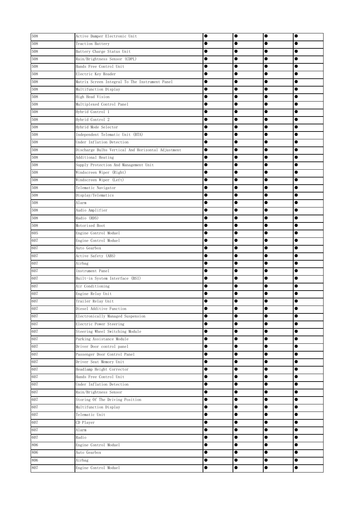| 508 | Active Damper Electronic Unit                      |           | $\bullet$ | $\bullet$ | $\bullet$ |
|-----|----------------------------------------------------|-----------|-----------|-----------|-----------|
| 508 | Traction Battery                                   | 0         | $\bullet$ | $\bullet$ |           |
| 508 | Battery Charge Status Unit                         | e         | $\bullet$ | $\bullet$ |           |
| 508 | Rain/Brightness Sensor (CDPL)                      |           | $\bullet$ | $\bullet$ |           |
| 508 | Hands Free Control Unit                            | 0         |           |           |           |
| 508 | Electric Key Reader                                | O         |           |           |           |
| 508 | Matrix Screen Integral To The Instrument Panel     | 0         |           |           |           |
| 508 | Multifunction Display                              | 0         |           | 0         |           |
| 508 | High Head Vision                                   | 0         |           |           |           |
| 508 | Multiplexed Control Panel                          |           |           |           | $\bullet$ |
| 508 | Hybrid Control 1                                   | $\bullet$ |           | $\bullet$ |           |
| 508 | Hybrid Control 2                                   | ●         | $\bullet$ | $\bullet$ | $\bullet$ |
| 508 | Hybrid Mode Selector                               |           | $\bullet$ | $\bullet$ |           |
| 508 | Independent Telematic Unit (BTA)                   | 0         |           | $\bullet$ |           |
| 508 | Under Inflation Detection                          | 0         | $\bullet$ | $\bullet$ |           |
| 508 | Discharge Bulbs Vertical And Horizontal Adjustment | $\bullet$ | $\bullet$ | $\bullet$ |           |
| 508 | Additional Heating                                 | $\bullet$ | $\bullet$ | $\bullet$ |           |
| 508 | Supply Protection And Management Unit              | 0         |           |           |           |
| 508 | Windscreen Wiper (Right)                           |           |           | 0         |           |
| 508 | Windscreen Wiper (Left)                            | 0         |           | $\bullet$ |           |
| 508 | Telematic Navigator                                | 0         |           | $\bullet$ |           |
| 508 | Display/Telematics                                 | $\bullet$ | $\bullet$ | $\bullet$ | $\bullet$ |
| 508 | Alarm                                              | $\bullet$ | $\bullet$ | $\bullet$ | $\bullet$ |
| 508 | Audio Amplifier                                    |           |           |           | $\bullet$ |
| 508 | Radio (RD5)                                        | 0         | $\bullet$ |           | $\bullet$ |
| 508 | Motorised Boot                                     | $\bullet$ | $\bullet$ | $\bullet$ | $\bullet$ |
| 605 | Engine Control Moduel                              | $\bullet$ | $\bullet$ | $\bullet$ |           |
| 607 | Engine Control Moduel                              |           |           | $\bullet$ |           |
| 607 | Auto Gearbox                                       | ●         | $\bullet$ |           |           |
| 607 | Active Safety (ABS)                                | 0         |           |           |           |
| 607 | Airbag                                             | O         |           |           |           |
| 607 | Instrument Panel                                   |           |           |           |           |
| 607 | Built-in System Interface (BSI)                    | 0         |           | 0         |           |
| 607 | Air Conditioning                                   |           | 0         | 0         |           |
| 607 | Engine Relay Unit                                  |           |           | ۰         |           |
| 607 | Trailer Relay Unit                                 | e         |           |           |           |
| 607 | Diesel Additive Function                           |           | 0         | 0         |           |
| 607 | Electronically Managed Suspension                  | $\bullet$ | $\bullet$ | $\bullet$ | $\bullet$ |
| 607 | Electric Power Steering                            | $\bullet$ | $\bullet$ | $\bullet$ |           |
| 607 | Steering Wheel Switching Module                    | $\bullet$ | $\bullet$ | $\bullet$ |           |
| 607 | Parking Assistance Module                          |           | $\bullet$ | $\bullet$ |           |
| 607 | Driver Door control panel                          | $\bullet$ |           | $\bullet$ |           |
| 607 | Passenger Door Control Panel                       | $\bullet$ |           |           |           |
| 607 | Driver Seat Memory Unit                            | 0         | $\bullet$ | $\bullet$ |           |
| 607 | Headlamp Height Corrector                          | $\bullet$ | $\bullet$ | $\bullet$ |           |
| 607 | Hands Free Control Unit                            | $\bullet$ |           |           |           |
| 607 | Under Inflation Detection                          |           | $\bullet$ | $\bullet$ | $\bullet$ |
| 607 | Rain/Brightness Sensor                             | $\bullet$ | $\bullet$ | $\bullet$ | $\bullet$ |
| 607 | Storing Of The Driving Position                    | $\bullet$ |           | $\bullet$ | $\bullet$ |
| 607 | Multifunction Display                              | $\bullet$ | $\bullet$ | $\bullet$ | $\bullet$ |
| 607 | Telematic Unit                                     | $\bullet$ | $\bullet$ | $\bullet$ | $\bullet$ |
| 607 | CD Player                                          | $\bullet$ | $\bullet$ | $\bullet$ |           |
| 607 | Alarm                                              |           | $\bullet$ | $\bullet$ |           |
| 607 | Radio                                              | $\bullet$ | $\bullet$ | $\bullet$ |           |
| 806 | Engine Control Moduel                              | $\bullet$ | $\bullet$ | $\bullet$ |           |
| 806 | Auto Gearbox                                       | 0         | $\bullet$ |           |           |
| 806 | Airbag                                             | $\bullet$ | $\bullet$ | $\bullet$ | $\bullet$ |
| 807 | Engine Control Moduel                              | $\bullet$ | $\bullet$ | $\bullet$ | $\bullet$ |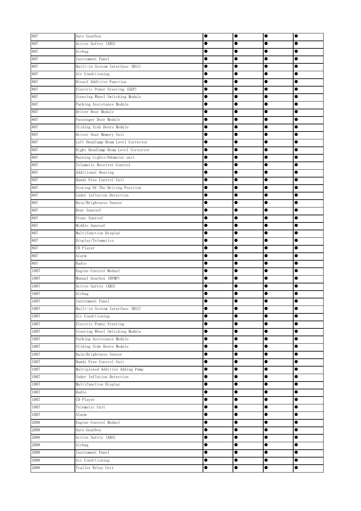| 807<br>Active Safety (ABS)<br>$\bullet$<br>$\bullet$<br>0<br>807<br>Airbag<br>$\bullet$<br>$\bullet$<br>Œ<br>с<br>807<br>Instrument Panel<br>$\bullet$<br>$\bullet$<br>807<br>Built-in System Interface (BSI)<br>0<br>807<br>Air Conditioning<br>807<br>Diesel Additive Function<br>$\bullet$<br>0<br>807<br>Electric Power Steering (GEP)<br>0<br>0<br>0<br>807<br>Steering Wheel Switching Module<br>0<br>Parking Assistance Module<br>$\bullet$<br>$\bullet$<br>$\bullet$<br>Driver Door Module<br>$\bullet$<br>$\bullet$<br>807<br>Passenger Door Module<br>●<br>$\bullet$<br>$\bullet$<br>$\bullet$<br>Sliding Side Doors Module<br>$\bullet$<br>$\bullet$<br>$\bullet$<br>Driver Seat Memory Unit<br>$\bullet$<br>0<br>$\bullet$<br>807<br>Left Headlamp Beam Level Corrector<br>$\bullet$<br>$\bullet$<br>0<br>807<br>Right Headlamp Beam Level Corrector<br>$\bullet$<br>$\bullet$<br>$\bullet$<br>Warning Lights/Odometer unit<br>$\bullet$<br>$\bullet$<br>$\bullet$<br>807<br>Telematic Receiver Control<br>0<br>807<br>Additional Heating<br>$\bullet$<br>807<br>Hands Free Control Unit<br>$\bullet$<br>0<br>$\bullet$<br>807<br>Storing Of The Driving Position<br>$\bullet$<br>$\bullet$<br>807<br>Under Inflation Detection<br>$\bullet$<br>$\bullet$<br>$\bullet$<br>$\bullet$<br>Rain/Brightness Sensor<br>$\bullet$<br>$\bullet$<br>$\bullet$<br>$\bullet$<br>Rear Sunroof<br>$\bullet$<br>$\bullet$<br>$\bullet$<br>807<br>Front Sunroof<br>$\bullet$<br>$\bullet$<br>0<br>$\bullet$<br>807<br>Middle Sunroof<br>$\bullet$<br>$\bullet$<br>$\bullet$<br>$\bullet$<br>807<br>Multifunction Display<br>$\bullet$<br>$\bullet$<br>807<br>Display/Telematics<br>$\bullet$<br>807<br>CD Player<br>$\bullet$<br>$\bullet$<br>●<br>807<br>Alarm<br>0<br>807<br>Radio<br>1007<br>Engine Control Moduel<br>0<br>$\bullet$<br>1007<br>Manual Gearbox (BVMP)<br>0<br>0<br>Active Safety (ABS)<br>0<br>1007<br>Airbag<br>0<br>1007<br>Instrument Panel<br>0<br>Built-in System Interface (BSI)<br>0<br>c<br>$\bullet$<br>$\bullet$<br>Air Conditioning<br>$\bullet$<br>$\bullet$<br>Electric Power Steering<br>$\bullet$<br>$\bullet$<br>$\bullet$<br>Steering Wheel Switching Module<br>$\bullet$<br>$\bullet$<br>$\bullet$<br>1007<br>Parking Assistance Module<br>$\bullet$<br>$\bullet$<br>$\bullet$<br>$\bullet$<br>1007<br>Sliding Side Doors Module<br>$\bullet$<br>$\bullet$<br>$\bullet$<br>$\bullet$<br>Rain/Brightness Sensor<br>$\bullet$<br>$\bullet$<br>$\bullet$<br>1007<br>Hands Free Control Unit<br>$\bullet$<br>$\bullet$<br>1007<br>Multiplexed Additive Adding Pump<br>$\bullet$<br>$\bullet$<br>$\bullet$<br>1007<br>Under Inflation Detection<br>$\bullet$<br>$\bullet$<br>$\bullet$<br>$1007\,$<br>Multifunction Display<br>$\bullet$<br>$\bullet$<br>$\bullet$<br>$\bullet$<br>Radio<br>$\bullet$<br>$\bullet$<br>$\bullet$<br>$\bullet$<br>CD Player<br>$\bullet$<br>$\bullet$<br>$\bullet$<br>$\bullet$<br>Telematic Unit<br>$\bullet$<br>$\bullet$<br>$\bullet$<br>$\bullet$<br>$\bullet$<br>$\bullet$<br>Alarm<br>$\bullet$<br>2008<br>Engine Control Moduel<br>$\bullet$<br>$\bullet$<br>2008<br>Auto Gearbox<br>$\bullet$<br>$\bullet$<br>$\bullet$<br>2008<br>Active Safety (ABS)<br>$\bullet$<br>$\bullet$<br>$\bullet$<br>$\bullet$<br>2008<br>Airbag<br>$\bullet$<br>$\bullet$<br>$\bullet$<br>$\bullet$<br>Instrument Panel<br>$\bullet$<br>0<br>2008<br>Air Conditioning<br>$\bullet$<br>$\bullet$<br>$\bullet$<br>$\bullet$<br>Trailer Relay Unit<br>2008<br>$\bullet$<br>$\bullet$<br>$\bullet$<br>$\bullet$ | 807      | Auto Gearbox | $\bullet$ | $\bullet$ | $\bullet$ | $\bullet$ |
|-------------------------------------------------------------------------------------------------------------------------------------------------------------------------------------------------------------------------------------------------------------------------------------------------------------------------------------------------------------------------------------------------------------------------------------------------------------------------------------------------------------------------------------------------------------------------------------------------------------------------------------------------------------------------------------------------------------------------------------------------------------------------------------------------------------------------------------------------------------------------------------------------------------------------------------------------------------------------------------------------------------------------------------------------------------------------------------------------------------------------------------------------------------------------------------------------------------------------------------------------------------------------------------------------------------------------------------------------------------------------------------------------------------------------------------------------------------------------------------------------------------------------------------------------------------------------------------------------------------------------------------------------------------------------------------------------------------------------------------------------------------------------------------------------------------------------------------------------------------------------------------------------------------------------------------------------------------------------------------------------------------------------------------------------------------------------------------------------------------------------------------------------------------------------------------------------------------------------------------------------------------------------------------------------------------------------------------------------------------------------------------------------------------------------------------------------------------------------------------------------------------------------------------------------------------------------------------------------------------------------------------------------------------------------------------------------------------------------------------------------------------------------------------------------------------------------------------------------------------------------------------------------------------------------------------------------------------------------------------------------------------------------------------------------------------------------------------------------------------------------------------------------------------------------------------------------------------------------------------------------------------------------------------------------------------------------------------------------------------------------------------------------------------------------------------------------------------------------------------------------------------------------------------------------------------|----------|--------------|-----------|-----------|-----------|-----------|
|                                                                                                                                                                                                                                                                                                                                                                                                                                                                                                                                                                                                                                                                                                                                                                                                                                                                                                                                                                                                                                                                                                                                                                                                                                                                                                                                                                                                                                                                                                                                                                                                                                                                                                                                                                                                                                                                                                                                                                                                                                                                                                                                                                                                                                                                                                                                                                                                                                                                                                                                                                                                                                                                                                                                                                                                                                                                                                                                                                                                                                                                                                                                                                                                                                                                                                                                                                                                                                                                                                                                                             |          |              |           |           |           |           |
|                                                                                                                                                                                                                                                                                                                                                                                                                                                                                                                                                                                                                                                                                                                                                                                                                                                                                                                                                                                                                                                                                                                                                                                                                                                                                                                                                                                                                                                                                                                                                                                                                                                                                                                                                                                                                                                                                                                                                                                                                                                                                                                                                                                                                                                                                                                                                                                                                                                                                                                                                                                                                                                                                                                                                                                                                                                                                                                                                                                                                                                                                                                                                                                                                                                                                                                                                                                                                                                                                                                                                             |          |              |           |           |           |           |
|                                                                                                                                                                                                                                                                                                                                                                                                                                                                                                                                                                                                                                                                                                                                                                                                                                                                                                                                                                                                                                                                                                                                                                                                                                                                                                                                                                                                                                                                                                                                                                                                                                                                                                                                                                                                                                                                                                                                                                                                                                                                                                                                                                                                                                                                                                                                                                                                                                                                                                                                                                                                                                                                                                                                                                                                                                                                                                                                                                                                                                                                                                                                                                                                                                                                                                                                                                                                                                                                                                                                                             |          |              |           |           |           |           |
|                                                                                                                                                                                                                                                                                                                                                                                                                                                                                                                                                                                                                                                                                                                                                                                                                                                                                                                                                                                                                                                                                                                                                                                                                                                                                                                                                                                                                                                                                                                                                                                                                                                                                                                                                                                                                                                                                                                                                                                                                                                                                                                                                                                                                                                                                                                                                                                                                                                                                                                                                                                                                                                                                                                                                                                                                                                                                                                                                                                                                                                                                                                                                                                                                                                                                                                                                                                                                                                                                                                                                             |          |              |           |           |           |           |
|                                                                                                                                                                                                                                                                                                                                                                                                                                                                                                                                                                                                                                                                                                                                                                                                                                                                                                                                                                                                                                                                                                                                                                                                                                                                                                                                                                                                                                                                                                                                                                                                                                                                                                                                                                                                                                                                                                                                                                                                                                                                                                                                                                                                                                                                                                                                                                                                                                                                                                                                                                                                                                                                                                                                                                                                                                                                                                                                                                                                                                                                                                                                                                                                                                                                                                                                                                                                                                                                                                                                                             |          |              |           |           |           |           |
|                                                                                                                                                                                                                                                                                                                                                                                                                                                                                                                                                                                                                                                                                                                                                                                                                                                                                                                                                                                                                                                                                                                                                                                                                                                                                                                                                                                                                                                                                                                                                                                                                                                                                                                                                                                                                                                                                                                                                                                                                                                                                                                                                                                                                                                                                                                                                                                                                                                                                                                                                                                                                                                                                                                                                                                                                                                                                                                                                                                                                                                                                                                                                                                                                                                                                                                                                                                                                                                                                                                                                             |          |              |           |           |           |           |
|                                                                                                                                                                                                                                                                                                                                                                                                                                                                                                                                                                                                                                                                                                                                                                                                                                                                                                                                                                                                                                                                                                                                                                                                                                                                                                                                                                                                                                                                                                                                                                                                                                                                                                                                                                                                                                                                                                                                                                                                                                                                                                                                                                                                                                                                                                                                                                                                                                                                                                                                                                                                                                                                                                                                                                                                                                                                                                                                                                                                                                                                                                                                                                                                                                                                                                                                                                                                                                                                                                                                                             |          |              |           |           |           |           |
|                                                                                                                                                                                                                                                                                                                                                                                                                                                                                                                                                                                                                                                                                                                                                                                                                                                                                                                                                                                                                                                                                                                                                                                                                                                                                                                                                                                                                                                                                                                                                                                                                                                                                                                                                                                                                                                                                                                                                                                                                                                                                                                                                                                                                                                                                                                                                                                                                                                                                                                                                                                                                                                                                                                                                                                                                                                                                                                                                                                                                                                                                                                                                                                                                                                                                                                                                                                                                                                                                                                                                             |          |              |           |           |           |           |
|                                                                                                                                                                                                                                                                                                                                                                                                                                                                                                                                                                                                                                                                                                                                                                                                                                                                                                                                                                                                                                                                                                                                                                                                                                                                                                                                                                                                                                                                                                                                                                                                                                                                                                                                                                                                                                                                                                                                                                                                                                                                                                                                                                                                                                                                                                                                                                                                                                                                                                                                                                                                                                                                                                                                                                                                                                                                                                                                                                                                                                                                                                                                                                                                                                                                                                                                                                                                                                                                                                                                                             | 807      |              |           |           |           |           |
|                                                                                                                                                                                                                                                                                                                                                                                                                                                                                                                                                                                                                                                                                                                                                                                                                                                                                                                                                                                                                                                                                                                                                                                                                                                                                                                                                                                                                                                                                                                                                                                                                                                                                                                                                                                                                                                                                                                                                                                                                                                                                                                                                                                                                                                                                                                                                                                                                                                                                                                                                                                                                                                                                                                                                                                                                                                                                                                                                                                                                                                                                                                                                                                                                                                                                                                                                                                                                                                                                                                                                             | 807      |              |           |           |           |           |
|                                                                                                                                                                                                                                                                                                                                                                                                                                                                                                                                                                                                                                                                                                                                                                                                                                                                                                                                                                                                                                                                                                                                                                                                                                                                                                                                                                                                                                                                                                                                                                                                                                                                                                                                                                                                                                                                                                                                                                                                                                                                                                                                                                                                                                                                                                                                                                                                                                                                                                                                                                                                                                                                                                                                                                                                                                                                                                                                                                                                                                                                                                                                                                                                                                                                                                                                                                                                                                                                                                                                                             |          |              |           |           |           |           |
|                                                                                                                                                                                                                                                                                                                                                                                                                                                                                                                                                                                                                                                                                                                                                                                                                                                                                                                                                                                                                                                                                                                                                                                                                                                                                                                                                                                                                                                                                                                                                                                                                                                                                                                                                                                                                                                                                                                                                                                                                                                                                                                                                                                                                                                                                                                                                                                                                                                                                                                                                                                                                                                                                                                                                                                                                                                                                                                                                                                                                                                                                                                                                                                                                                                                                                                                                                                                                                                                                                                                                             | 807      |              |           |           |           |           |
|                                                                                                                                                                                                                                                                                                                                                                                                                                                                                                                                                                                                                                                                                                                                                                                                                                                                                                                                                                                                                                                                                                                                                                                                                                                                                                                                                                                                                                                                                                                                                                                                                                                                                                                                                                                                                                                                                                                                                                                                                                                                                                                                                                                                                                                                                                                                                                                                                                                                                                                                                                                                                                                                                                                                                                                                                                                                                                                                                                                                                                                                                                                                                                                                                                                                                                                                                                                                                                                                                                                                                             | 807      |              |           |           |           |           |
|                                                                                                                                                                                                                                                                                                                                                                                                                                                                                                                                                                                                                                                                                                                                                                                                                                                                                                                                                                                                                                                                                                                                                                                                                                                                                                                                                                                                                                                                                                                                                                                                                                                                                                                                                                                                                                                                                                                                                                                                                                                                                                                                                                                                                                                                                                                                                                                                                                                                                                                                                                                                                                                                                                                                                                                                                                                                                                                                                                                                                                                                                                                                                                                                                                                                                                                                                                                                                                                                                                                                                             |          |              |           |           |           |           |
|                                                                                                                                                                                                                                                                                                                                                                                                                                                                                                                                                                                                                                                                                                                                                                                                                                                                                                                                                                                                                                                                                                                                                                                                                                                                                                                                                                                                                                                                                                                                                                                                                                                                                                                                                                                                                                                                                                                                                                                                                                                                                                                                                                                                                                                                                                                                                                                                                                                                                                                                                                                                                                                                                                                                                                                                                                                                                                                                                                                                                                                                                                                                                                                                                                                                                                                                                                                                                                                                                                                                                             |          |              |           |           |           |           |
|                                                                                                                                                                                                                                                                                                                                                                                                                                                                                                                                                                                                                                                                                                                                                                                                                                                                                                                                                                                                                                                                                                                                                                                                                                                                                                                                                                                                                                                                                                                                                                                                                                                                                                                                                                                                                                                                                                                                                                                                                                                                                                                                                                                                                                                                                                                                                                                                                                                                                                                                                                                                                                                                                                                                                                                                                                                                                                                                                                                                                                                                                                                                                                                                                                                                                                                                                                                                                                                                                                                                                             | 807      |              |           |           |           |           |
|                                                                                                                                                                                                                                                                                                                                                                                                                                                                                                                                                                                                                                                                                                                                                                                                                                                                                                                                                                                                                                                                                                                                                                                                                                                                                                                                                                                                                                                                                                                                                                                                                                                                                                                                                                                                                                                                                                                                                                                                                                                                                                                                                                                                                                                                                                                                                                                                                                                                                                                                                                                                                                                                                                                                                                                                                                                                                                                                                                                                                                                                                                                                                                                                                                                                                                                                                                                                                                                                                                                                                             |          |              |           |           |           |           |
|                                                                                                                                                                                                                                                                                                                                                                                                                                                                                                                                                                                                                                                                                                                                                                                                                                                                                                                                                                                                                                                                                                                                                                                                                                                                                                                                                                                                                                                                                                                                                                                                                                                                                                                                                                                                                                                                                                                                                                                                                                                                                                                                                                                                                                                                                                                                                                                                                                                                                                                                                                                                                                                                                                                                                                                                                                                                                                                                                                                                                                                                                                                                                                                                                                                                                                                                                                                                                                                                                                                                                             |          |              |           |           |           |           |
|                                                                                                                                                                                                                                                                                                                                                                                                                                                                                                                                                                                                                                                                                                                                                                                                                                                                                                                                                                                                                                                                                                                                                                                                                                                                                                                                                                                                                                                                                                                                                                                                                                                                                                                                                                                                                                                                                                                                                                                                                                                                                                                                                                                                                                                                                                                                                                                                                                                                                                                                                                                                                                                                                                                                                                                                                                                                                                                                                                                                                                                                                                                                                                                                                                                                                                                                                                                                                                                                                                                                                             |          |              |           |           |           |           |
|                                                                                                                                                                                                                                                                                                                                                                                                                                                                                                                                                                                                                                                                                                                                                                                                                                                                                                                                                                                                                                                                                                                                                                                                                                                                                                                                                                                                                                                                                                                                                                                                                                                                                                                                                                                                                                                                                                                                                                                                                                                                                                                                                                                                                                                                                                                                                                                                                                                                                                                                                                                                                                                                                                                                                                                                                                                                                                                                                                                                                                                                                                                                                                                                                                                                                                                                                                                                                                                                                                                                                             |          |              |           |           |           |           |
|                                                                                                                                                                                                                                                                                                                                                                                                                                                                                                                                                                                                                                                                                                                                                                                                                                                                                                                                                                                                                                                                                                                                                                                                                                                                                                                                                                                                                                                                                                                                                                                                                                                                                                                                                                                                                                                                                                                                                                                                                                                                                                                                                                                                                                                                                                                                                                                                                                                                                                                                                                                                                                                                                                                                                                                                                                                                                                                                                                                                                                                                                                                                                                                                                                                                                                                                                                                                                                                                                                                                                             |          |              |           |           |           |           |
|                                                                                                                                                                                                                                                                                                                                                                                                                                                                                                                                                                                                                                                                                                                                                                                                                                                                                                                                                                                                                                                                                                                                                                                                                                                                                                                                                                                                                                                                                                                                                                                                                                                                                                                                                                                                                                                                                                                                                                                                                                                                                                                                                                                                                                                                                                                                                                                                                                                                                                                                                                                                                                                                                                                                                                                                                                                                                                                                                                                                                                                                                                                                                                                                                                                                                                                                                                                                                                                                                                                                                             | 807      |              |           |           |           |           |
|                                                                                                                                                                                                                                                                                                                                                                                                                                                                                                                                                                                                                                                                                                                                                                                                                                                                                                                                                                                                                                                                                                                                                                                                                                                                                                                                                                                                                                                                                                                                                                                                                                                                                                                                                                                                                                                                                                                                                                                                                                                                                                                                                                                                                                                                                                                                                                                                                                                                                                                                                                                                                                                                                                                                                                                                                                                                                                                                                                                                                                                                                                                                                                                                                                                                                                                                                                                                                                                                                                                                                             | 807      |              |           |           |           |           |
|                                                                                                                                                                                                                                                                                                                                                                                                                                                                                                                                                                                                                                                                                                                                                                                                                                                                                                                                                                                                                                                                                                                                                                                                                                                                                                                                                                                                                                                                                                                                                                                                                                                                                                                                                                                                                                                                                                                                                                                                                                                                                                                                                                                                                                                                                                                                                                                                                                                                                                                                                                                                                                                                                                                                                                                                                                                                                                                                                                                                                                                                                                                                                                                                                                                                                                                                                                                                                                                                                                                                                             |          |              |           |           |           |           |
|                                                                                                                                                                                                                                                                                                                                                                                                                                                                                                                                                                                                                                                                                                                                                                                                                                                                                                                                                                                                                                                                                                                                                                                                                                                                                                                                                                                                                                                                                                                                                                                                                                                                                                                                                                                                                                                                                                                                                                                                                                                                                                                                                                                                                                                                                                                                                                                                                                                                                                                                                                                                                                                                                                                                                                                                                                                                                                                                                                                                                                                                                                                                                                                                                                                                                                                                                                                                                                                                                                                                                             |          |              |           |           |           |           |
|                                                                                                                                                                                                                                                                                                                                                                                                                                                                                                                                                                                                                                                                                                                                                                                                                                                                                                                                                                                                                                                                                                                                                                                                                                                                                                                                                                                                                                                                                                                                                                                                                                                                                                                                                                                                                                                                                                                                                                                                                                                                                                                                                                                                                                                                                                                                                                                                                                                                                                                                                                                                                                                                                                                                                                                                                                                                                                                                                                                                                                                                                                                                                                                                                                                                                                                                                                                                                                                                                                                                                             |          |              |           |           |           |           |
|                                                                                                                                                                                                                                                                                                                                                                                                                                                                                                                                                                                                                                                                                                                                                                                                                                                                                                                                                                                                                                                                                                                                                                                                                                                                                                                                                                                                                                                                                                                                                                                                                                                                                                                                                                                                                                                                                                                                                                                                                                                                                                                                                                                                                                                                                                                                                                                                                                                                                                                                                                                                                                                                                                                                                                                                                                                                                                                                                                                                                                                                                                                                                                                                                                                                                                                                                                                                                                                                                                                                                             |          |              |           |           |           |           |
|                                                                                                                                                                                                                                                                                                                                                                                                                                                                                                                                                                                                                                                                                                                                                                                                                                                                                                                                                                                                                                                                                                                                                                                                                                                                                                                                                                                                                                                                                                                                                                                                                                                                                                                                                                                                                                                                                                                                                                                                                                                                                                                                                                                                                                                                                                                                                                                                                                                                                                                                                                                                                                                                                                                                                                                                                                                                                                                                                                                                                                                                                                                                                                                                                                                                                                                                                                                                                                                                                                                                                             |          |              |           |           |           |           |
|                                                                                                                                                                                                                                                                                                                                                                                                                                                                                                                                                                                                                                                                                                                                                                                                                                                                                                                                                                                                                                                                                                                                                                                                                                                                                                                                                                                                                                                                                                                                                                                                                                                                                                                                                                                                                                                                                                                                                                                                                                                                                                                                                                                                                                                                                                                                                                                                                                                                                                                                                                                                                                                                                                                                                                                                                                                                                                                                                                                                                                                                                                                                                                                                                                                                                                                                                                                                                                                                                                                                                             |          |              |           |           |           |           |
|                                                                                                                                                                                                                                                                                                                                                                                                                                                                                                                                                                                                                                                                                                                                                                                                                                                                                                                                                                                                                                                                                                                                                                                                                                                                                                                                                                                                                                                                                                                                                                                                                                                                                                                                                                                                                                                                                                                                                                                                                                                                                                                                                                                                                                                                                                                                                                                                                                                                                                                                                                                                                                                                                                                                                                                                                                                                                                                                                                                                                                                                                                                                                                                                                                                                                                                                                                                                                                                                                                                                                             |          |              |           |           |           |           |
|                                                                                                                                                                                                                                                                                                                                                                                                                                                                                                                                                                                                                                                                                                                                                                                                                                                                                                                                                                                                                                                                                                                                                                                                                                                                                                                                                                                                                                                                                                                                                                                                                                                                                                                                                                                                                                                                                                                                                                                                                                                                                                                                                                                                                                                                                                                                                                                                                                                                                                                                                                                                                                                                                                                                                                                                                                                                                                                                                                                                                                                                                                                                                                                                                                                                                                                                                                                                                                                                                                                                                             |          |              |           |           |           |           |
|                                                                                                                                                                                                                                                                                                                                                                                                                                                                                                                                                                                                                                                                                                                                                                                                                                                                                                                                                                                                                                                                                                                                                                                                                                                                                                                                                                                                                                                                                                                                                                                                                                                                                                                                                                                                                                                                                                                                                                                                                                                                                                                                                                                                                                                                                                                                                                                                                                                                                                                                                                                                                                                                                                                                                                                                                                                                                                                                                                                                                                                                                                                                                                                                                                                                                                                                                                                                                                                                                                                                                             |          |              |           |           |           |           |
|                                                                                                                                                                                                                                                                                                                                                                                                                                                                                                                                                                                                                                                                                                                                                                                                                                                                                                                                                                                                                                                                                                                                                                                                                                                                                                                                                                                                                                                                                                                                                                                                                                                                                                                                                                                                                                                                                                                                                                                                                                                                                                                                                                                                                                                                                                                                                                                                                                                                                                                                                                                                                                                                                                                                                                                                                                                                                                                                                                                                                                                                                                                                                                                                                                                                                                                                                                                                                                                                                                                                                             | 1007     |              |           |           |           |           |
|                                                                                                                                                                                                                                                                                                                                                                                                                                                                                                                                                                                                                                                                                                                                                                                                                                                                                                                                                                                                                                                                                                                                                                                                                                                                                                                                                                                                                                                                                                                                                                                                                                                                                                                                                                                                                                                                                                                                                                                                                                                                                                                                                                                                                                                                                                                                                                                                                                                                                                                                                                                                                                                                                                                                                                                                                                                                                                                                                                                                                                                                                                                                                                                                                                                                                                                                                                                                                                                                                                                                                             |          |              |           |           |           |           |
|                                                                                                                                                                                                                                                                                                                                                                                                                                                                                                                                                                                                                                                                                                                                                                                                                                                                                                                                                                                                                                                                                                                                                                                                                                                                                                                                                                                                                                                                                                                                                                                                                                                                                                                                                                                                                                                                                                                                                                                                                                                                                                                                                                                                                                                                                                                                                                                                                                                                                                                                                                                                                                                                                                                                                                                                                                                                                                                                                                                                                                                                                                                                                                                                                                                                                                                                                                                                                                                                                                                                                             |          |              |           |           |           |           |
|                                                                                                                                                                                                                                                                                                                                                                                                                                                                                                                                                                                                                                                                                                                                                                                                                                                                                                                                                                                                                                                                                                                                                                                                                                                                                                                                                                                                                                                                                                                                                                                                                                                                                                                                                                                                                                                                                                                                                                                                                                                                                                                                                                                                                                                                                                                                                                                                                                                                                                                                                                                                                                                                                                                                                                                                                                                                                                                                                                                                                                                                                                                                                                                                                                                                                                                                                                                                                                                                                                                                                             | 1007     |              |           |           |           |           |
|                                                                                                                                                                                                                                                                                                                                                                                                                                                                                                                                                                                                                                                                                                                                                                                                                                                                                                                                                                                                                                                                                                                                                                                                                                                                                                                                                                                                                                                                                                                                                                                                                                                                                                                                                                                                                                                                                                                                                                                                                                                                                                                                                                                                                                                                                                                                                                                                                                                                                                                                                                                                                                                                                                                                                                                                                                                                                                                                                                                                                                                                                                                                                                                                                                                                                                                                                                                                                                                                                                                                                             | 1007     |              |           |           |           |           |
|                                                                                                                                                                                                                                                                                                                                                                                                                                                                                                                                                                                                                                                                                                                                                                                                                                                                                                                                                                                                                                                                                                                                                                                                                                                                                                                                                                                                                                                                                                                                                                                                                                                                                                                                                                                                                                                                                                                                                                                                                                                                                                                                                                                                                                                                                                                                                                                                                                                                                                                                                                                                                                                                                                                                                                                                                                                                                                                                                                                                                                                                                                                                                                                                                                                                                                                                                                                                                                                                                                                                                             | 1007     |              |           |           |           |           |
|                                                                                                                                                                                                                                                                                                                                                                                                                                                                                                                                                                                                                                                                                                                                                                                                                                                                                                                                                                                                                                                                                                                                                                                                                                                                                                                                                                                                                                                                                                                                                                                                                                                                                                                                                                                                                                                                                                                                                                                                                                                                                                                                                                                                                                                                                                                                                                                                                                                                                                                                                                                                                                                                                                                                                                                                                                                                                                                                                                                                                                                                                                                                                                                                                                                                                                                                                                                                                                                                                                                                                             | 1007     |              |           |           |           |           |
|                                                                                                                                                                                                                                                                                                                                                                                                                                                                                                                                                                                                                                                                                                                                                                                                                                                                                                                                                                                                                                                                                                                                                                                                                                                                                                                                                                                                                                                                                                                                                                                                                                                                                                                                                                                                                                                                                                                                                                                                                                                                                                                                                                                                                                                                                                                                                                                                                                                                                                                                                                                                                                                                                                                                                                                                                                                                                                                                                                                                                                                                                                                                                                                                                                                                                                                                                                                                                                                                                                                                                             |          |              |           |           |           |           |
|                                                                                                                                                                                                                                                                                                                                                                                                                                                                                                                                                                                                                                                                                                                                                                                                                                                                                                                                                                                                                                                                                                                                                                                                                                                                                                                                                                                                                                                                                                                                                                                                                                                                                                                                                                                                                                                                                                                                                                                                                                                                                                                                                                                                                                                                                                                                                                                                                                                                                                                                                                                                                                                                                                                                                                                                                                                                                                                                                                                                                                                                                                                                                                                                                                                                                                                                                                                                                                                                                                                                                             |          |              |           |           |           |           |
|                                                                                                                                                                                                                                                                                                                                                                                                                                                                                                                                                                                                                                                                                                                                                                                                                                                                                                                                                                                                                                                                                                                                                                                                                                                                                                                                                                                                                                                                                                                                                                                                                                                                                                                                                                                                                                                                                                                                                                                                                                                                                                                                                                                                                                                                                                                                                                                                                                                                                                                                                                                                                                                                                                                                                                                                                                                                                                                                                                                                                                                                                                                                                                                                                                                                                                                                                                                                                                                                                                                                                             | 1007     |              |           |           |           |           |
|                                                                                                                                                                                                                                                                                                                                                                                                                                                                                                                                                                                                                                                                                                                                                                                                                                                                                                                                                                                                                                                                                                                                                                                                                                                                                                                                                                                                                                                                                                                                                                                                                                                                                                                                                                                                                                                                                                                                                                                                                                                                                                                                                                                                                                                                                                                                                                                                                                                                                                                                                                                                                                                                                                                                                                                                                                                                                                                                                                                                                                                                                                                                                                                                                                                                                                                                                                                                                                                                                                                                                             |          |              |           |           |           |           |
|                                                                                                                                                                                                                                                                                                                                                                                                                                                                                                                                                                                                                                                                                                                                                                                                                                                                                                                                                                                                                                                                                                                                                                                                                                                                                                                                                                                                                                                                                                                                                                                                                                                                                                                                                                                                                                                                                                                                                                                                                                                                                                                                                                                                                                                                                                                                                                                                                                                                                                                                                                                                                                                                                                                                                                                                                                                                                                                                                                                                                                                                                                                                                                                                                                                                                                                                                                                                                                                                                                                                                             |          |              |           |           |           |           |
|                                                                                                                                                                                                                                                                                                                                                                                                                                                                                                                                                                                                                                                                                                                                                                                                                                                                                                                                                                                                                                                                                                                                                                                                                                                                                                                                                                                                                                                                                                                                                                                                                                                                                                                                                                                                                                                                                                                                                                                                                                                                                                                                                                                                                                                                                                                                                                                                                                                                                                                                                                                                                                                                                                                                                                                                                                                                                                                                                                                                                                                                                                                                                                                                                                                                                                                                                                                                                                                                                                                                                             |          |              |           |           |           |           |
|                                                                                                                                                                                                                                                                                                                                                                                                                                                                                                                                                                                                                                                                                                                                                                                                                                                                                                                                                                                                                                                                                                                                                                                                                                                                                                                                                                                                                                                                                                                                                                                                                                                                                                                                                                                                                                                                                                                                                                                                                                                                                                                                                                                                                                                                                                                                                                                                                                                                                                                                                                                                                                                                                                                                                                                                                                                                                                                                                                                                                                                                                                                                                                                                                                                                                                                                                                                                                                                                                                                                                             |          |              |           |           |           |           |
|                                                                                                                                                                                                                                                                                                                                                                                                                                                                                                                                                                                                                                                                                                                                                                                                                                                                                                                                                                                                                                                                                                                                                                                                                                                                                                                                                                                                                                                                                                                                                                                                                                                                                                                                                                                                                                                                                                                                                                                                                                                                                                                                                                                                                                                                                                                                                                                                                                                                                                                                                                                                                                                                                                                                                                                                                                                                                                                                                                                                                                                                                                                                                                                                                                                                                                                                                                                                                                                                                                                                                             | 1007     |              |           |           |           |           |
|                                                                                                                                                                                                                                                                                                                                                                                                                                                                                                                                                                                                                                                                                                                                                                                                                                                                                                                                                                                                                                                                                                                                                                                                                                                                                                                                                                                                                                                                                                                                                                                                                                                                                                                                                                                                                                                                                                                                                                                                                                                                                                                                                                                                                                                                                                                                                                                                                                                                                                                                                                                                                                                                                                                                                                                                                                                                                                                                                                                                                                                                                                                                                                                                                                                                                                                                                                                                                                                                                                                                                             | 1007     |              |           |           |           |           |
|                                                                                                                                                                                                                                                                                                                                                                                                                                                                                                                                                                                                                                                                                                                                                                                                                                                                                                                                                                                                                                                                                                                                                                                                                                                                                                                                                                                                                                                                                                                                                                                                                                                                                                                                                                                                                                                                                                                                                                                                                                                                                                                                                                                                                                                                                                                                                                                                                                                                                                                                                                                                                                                                                                                                                                                                                                                                                                                                                                                                                                                                                                                                                                                                                                                                                                                                                                                                                                                                                                                                                             | $1007\,$ |              |           |           |           |           |
|                                                                                                                                                                                                                                                                                                                                                                                                                                                                                                                                                                                                                                                                                                                                                                                                                                                                                                                                                                                                                                                                                                                                                                                                                                                                                                                                                                                                                                                                                                                                                                                                                                                                                                                                                                                                                                                                                                                                                                                                                                                                                                                                                                                                                                                                                                                                                                                                                                                                                                                                                                                                                                                                                                                                                                                                                                                                                                                                                                                                                                                                                                                                                                                                                                                                                                                                                                                                                                                                                                                                                             | 1007     |              |           |           |           |           |
|                                                                                                                                                                                                                                                                                                                                                                                                                                                                                                                                                                                                                                                                                                                                                                                                                                                                                                                                                                                                                                                                                                                                                                                                                                                                                                                                                                                                                                                                                                                                                                                                                                                                                                                                                                                                                                                                                                                                                                                                                                                                                                                                                                                                                                                                                                                                                                                                                                                                                                                                                                                                                                                                                                                                                                                                                                                                                                                                                                                                                                                                                                                                                                                                                                                                                                                                                                                                                                                                                                                                                             |          |              |           |           |           |           |
|                                                                                                                                                                                                                                                                                                                                                                                                                                                                                                                                                                                                                                                                                                                                                                                                                                                                                                                                                                                                                                                                                                                                                                                                                                                                                                                                                                                                                                                                                                                                                                                                                                                                                                                                                                                                                                                                                                                                                                                                                                                                                                                                                                                                                                                                                                                                                                                                                                                                                                                                                                                                                                                                                                                                                                                                                                                                                                                                                                                                                                                                                                                                                                                                                                                                                                                                                                                                                                                                                                                                                             |          |              |           |           |           |           |
|                                                                                                                                                                                                                                                                                                                                                                                                                                                                                                                                                                                                                                                                                                                                                                                                                                                                                                                                                                                                                                                                                                                                                                                                                                                                                                                                                                                                                                                                                                                                                                                                                                                                                                                                                                                                                                                                                                                                                                                                                                                                                                                                                                                                                                                                                                                                                                                                                                                                                                                                                                                                                                                                                                                                                                                                                                                                                                                                                                                                                                                                                                                                                                                                                                                                                                                                                                                                                                                                                                                                                             |          |              |           |           |           |           |
|                                                                                                                                                                                                                                                                                                                                                                                                                                                                                                                                                                                                                                                                                                                                                                                                                                                                                                                                                                                                                                                                                                                                                                                                                                                                                                                                                                                                                                                                                                                                                                                                                                                                                                                                                                                                                                                                                                                                                                                                                                                                                                                                                                                                                                                                                                                                                                                                                                                                                                                                                                                                                                                                                                                                                                                                                                                                                                                                                                                                                                                                                                                                                                                                                                                                                                                                                                                                                                                                                                                                                             |          |              |           |           |           |           |
|                                                                                                                                                                                                                                                                                                                                                                                                                                                                                                                                                                                                                                                                                                                                                                                                                                                                                                                                                                                                                                                                                                                                                                                                                                                                                                                                                                                                                                                                                                                                                                                                                                                                                                                                                                                                                                                                                                                                                                                                                                                                                                                                                                                                                                                                                                                                                                                                                                                                                                                                                                                                                                                                                                                                                                                                                                                                                                                                                                                                                                                                                                                                                                                                                                                                                                                                                                                                                                                                                                                                                             | 2008     |              |           |           |           |           |
|                                                                                                                                                                                                                                                                                                                                                                                                                                                                                                                                                                                                                                                                                                                                                                                                                                                                                                                                                                                                                                                                                                                                                                                                                                                                                                                                                                                                                                                                                                                                                                                                                                                                                                                                                                                                                                                                                                                                                                                                                                                                                                                                                                                                                                                                                                                                                                                                                                                                                                                                                                                                                                                                                                                                                                                                                                                                                                                                                                                                                                                                                                                                                                                                                                                                                                                                                                                                                                                                                                                                                             |          |              |           |           |           |           |
|                                                                                                                                                                                                                                                                                                                                                                                                                                                                                                                                                                                                                                                                                                                                                                                                                                                                                                                                                                                                                                                                                                                                                                                                                                                                                                                                                                                                                                                                                                                                                                                                                                                                                                                                                                                                                                                                                                                                                                                                                                                                                                                                                                                                                                                                                                                                                                                                                                                                                                                                                                                                                                                                                                                                                                                                                                                                                                                                                                                                                                                                                                                                                                                                                                                                                                                                                                                                                                                                                                                                                             |          |              |           |           |           |           |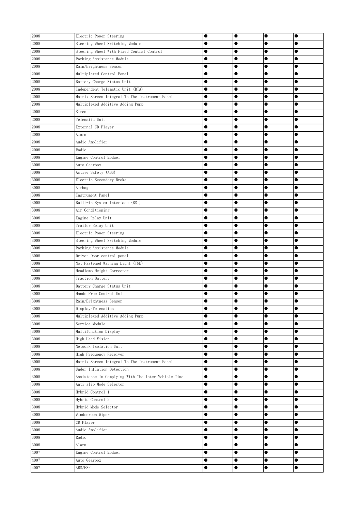| 2008 | Electric Power Steering                             | $\bullet$ | $\bullet$ | $\bullet$ | $\bullet$ |
|------|-----------------------------------------------------|-----------|-----------|-----------|-----------|
| 2008 | Steering Wheel Switching Module                     | $\bullet$ | $\bullet$ | $\bullet$ |           |
| 2008 | Steering Wheel With Fixed Central Control           |           | $\bullet$ | $\bullet$ | c         |
| 2008 | Parking Assistance Module                           | 0         | $\bullet$ | $\bullet$ |           |
| 2008 | Rain/Brightness Sensor                              | 0         |           | $\bullet$ | 0         |
| 2008 | Multiplexed Control Panel                           | O         |           | $\bullet$ | e         |
| 2008 | Battery Charge Status Unit                          | 0         |           | $\bullet$ | 0         |
| 2008 | Independent Telematic Unit (BTA)                    | 0         |           |           | 0         |
| 2008 | Matrix Screen Integral To The Instrument Panel      |           |           | $\bullet$ |           |
| 2008 | Multiplexed Additive Adding Pump                    |           | $\bullet$ | $\bullet$ |           |
| 2008 | Siren                                               | $\bullet$ | $\bullet$ | $\bullet$ | $\bullet$ |
| 2008 | Telematic Unit                                      | $\bullet$ | $\bullet$ | $\bullet$ | 0         |
| 2008 | External CD Player                                  | $\bullet$ | $\bullet$ | $\bullet$ | ●         |
| 2008 | Alarm                                               | 0         | $\bullet$ | $\bullet$ |           |
| 2008 | Audio Amplifier                                     | $\bullet$ | $\bullet$ | $\bullet$ | e         |
| 2008 | Radio                                               |           | $\bullet$ | $\bullet$ |           |
| 3008 | Engine Control Moduel                               | 0         | $\bullet$ | $\bullet$ |           |
| 3008 | Auto Gearbox                                        | 0         |           | $\bullet$ |           |
| 3008 | Active Safety (ABS)                                 | 0         | $\bullet$ |           | 0         |
| 3008 | Electric Secondary Brake                            | $\bullet$ | $\bullet$ | $\bullet$ | 0         |
| 3008 | Airbag                                              | 0         | $\bullet$ | $\bullet$ |           |
| 3008 | Instrument Panel                                    |           | $\bullet$ | $\bullet$ | $\bullet$ |
| 3008 | Built-in System Interface (BSI)                     | $\bullet$ | $\bullet$ | $\bullet$ | $\bullet$ |
| 3008 | Air Conditioning                                    | $\bullet$ | $\bullet$ | $\bullet$ | $\bullet$ |
| 3008 | Engine Relay Unit                                   |           | $\bullet$ | $\bullet$ | 0         |
| 3008 | Trailer Relay Unit                                  | $\bullet$ | $\bullet$ | $\bullet$ | $\bullet$ |
| 3008 | Electric Power Steering                             | $\bullet$ | $\bullet$ | $\bullet$ |           |
| 3008 | Steering Wheel Switching Module                     |           | $\bullet$ | $\bullet$ | 0         |
| 3008 | Parking Assistance Module                           |           | $\bullet$ | $\bullet$ |           |
| 3008 | Driver Door control panel                           | 0         |           | $\bullet$ | 0         |
| 3008 | Not Fastened Warning Light (TNB)                    | O         |           | $\bullet$ | œ         |
| 3008 | Headlamp Height Corrector                           | ●         |           | $\bullet$ | 0         |
| 3008 | Traction Battery                                    | 0         |           |           | 0         |
| 3008 | Battery Charge Status Unit                          | 0         |           | $\bullet$ |           |
| 3008 | Hands Free Control Unit                             |           |           |           | 0         |
| 3008 | Rain/Brightness Sensor                              | e         | ●         |           | e         |
| 3008 | Display/Telematics                                  | c         | $\bullet$ | $\bullet$ | 0         |
| 3008 | Multiplexed Additive Adding Pump                    | $\bullet$ | $\bullet$ | $\bullet$ | $\bullet$ |
| 3008 | Service Module                                      | $\bullet$ | $\bullet$ | $\bullet$ | 0         |
| 3008 | Multifunction Display                               | $\bullet$ | $\bullet$ | $\bullet$ | $\bullet$ |
| 3008 | High Head Vision                                    | $\bullet$ | $\bullet$ | $\bullet$ |           |
| 3008 | Network Isolation Unit                              | 0         | $\bullet$ | $\bullet$ |           |
| 3008 | High Frequency Receiver                             | $\bullet$ |           | $\bullet$ |           |
| 3008 | Matrix Screen Integral To The Instrument Panel      |           | $\bullet$ |           |           |
| 3008 | Under Inflation Detection                           | $\bullet$ | $\bullet$ | $\bullet$ |           |
| 3008 | Assistance In Complying With The Inter Vehicle Time | $\bullet$ | $\bullet$ | $\bullet$ |           |
| 3008 | Anti-slip Mode Selector                             | $\bullet$ | $\bullet$ | $\bullet$ |           |
| 3008 | Hybrid Control 1                                    | $\bullet$ | $\bullet$ | $\bullet$ | $\bullet$ |
| 3008 | Hybrid Control 2                                    | $\bullet$ | $\bullet$ | $\bullet$ | $\bullet$ |
| 3008 | Hybrid Mode Selector                                | $\bullet$ | $\bullet$ | $\bullet$ |           |
| 3008 | Windscreen Wiper                                    | $\bullet$ | $\bullet$ | $\bullet$ |           |
| 3008 | CD Player                                           | $\bullet$ | $\bullet$ | $\bullet$ |           |
| 3008 | Audio Amplifier                                     | $\bullet$ | $\bullet$ | $\bullet$ | 0         |
| 3008 | Radio                                               |           | $\bullet$ | $\bullet$ |           |
| 3008 | Alarm                                               | 0         | $\bullet$ | $\bullet$ |           |
| 4007 | Engine Control Moduel                               | 0         | $\bullet$ | $\bullet$ | 0         |
| 4007 | Auto Gearbox                                        | $\bullet$ | $\bullet$ | $\bullet$ | $\bullet$ |
| 4007 | ABS/ESP                                             | $\bullet$ | $\bullet$ | $\bullet$ | $\bullet$ |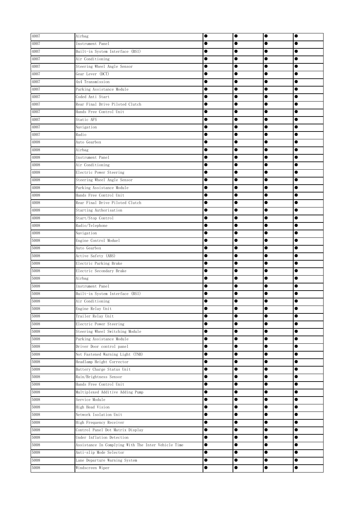| 4007         | Airbag                                                                         | $\bullet$              | $\bullet$              | $\bullet$              | $\bullet$              |
|--------------|--------------------------------------------------------------------------------|------------------------|------------------------|------------------------|------------------------|
| 4007         | Instrument Panel                                                               |                        |                        | $\bullet$              |                        |
| 4007         | Built-in System Interface (BSI)                                                |                        |                        | $\bullet$              |                        |
| 4007         | Air Conditioning                                                               | $\bullet$              | $\bullet$              | $\bullet$              |                        |
| 4007         | Steering Wheel Angle Sensor                                                    |                        |                        | $\bullet$              |                        |
| 4007         | Gear Lever (DCT)                                                               |                        |                        | $\bullet$              |                        |
| 4007         | 4x4 Transmission                                                               |                        |                        | $\bullet$              | $\bullet$              |
| 4007         | Parking Assistance Module                                                      | $\bullet$              | $\bullet$              | $\bullet$              |                        |
| 4007         | Coded Anti Start                                                               | $\bullet$              | $\bullet$              | $\bullet$              |                        |
| 4007         | Rear Final Drive Piloted Clutch                                                |                        | $\bullet$              | $\bullet$              | $\bullet$              |
| 4007         | Hands Free Control Unit                                                        |                        | $\bullet$              | $\bullet$              |                        |
| 4007         | Static AFS                                                                     | $\bullet$              | $\bullet$              | $\bullet$              | $\bullet$              |
| 4007         | Navigation                                                                     |                        | $\bullet$              | $\bullet$              |                        |
| 4007         | Radio                                                                          | $\bullet$              | $\bullet$              | $\bullet$              |                        |
| 4008         | Auto Gearbox                                                                   | $\bullet$              | $\bullet$              | $\bullet$              |                        |
| 4008         | Airbag                                                                         |                        | $\bullet$              | $\bullet$              |                        |
| 4008         | Instrument Panel                                                               |                        | $\bullet$              |                        |                        |
| 4008         | Air Conditioning                                                               | $\bullet$              | $\bullet$              | $\bullet$              |                        |
| 4008         | Electric Power Steering                                                        |                        |                        | $\bullet$              |                        |
| 4008         | Steering Wheel Angle Sensor                                                    |                        |                        | $\bullet$              |                        |
| 4008         | Parking Assistance Module                                                      | $\bullet$              | $\bullet$              | $\bullet$              | $\bullet$              |
| 4008         | Hands Free Control Unit                                                        | $\bullet$              | $\bullet$              | $\bullet$              | $\bullet$              |
| 4008         | Rear Final Drive Piloted Clutch                                                | $\bullet$              | $\bullet$              | $\bullet$              | $\bullet$              |
| 4008         | Starting Authorisation                                                         | $\bullet$              | $\bullet$              | $\bullet$              | $\bullet$              |
| 4008         | Start/Stop Control                                                             |                        | $\bullet$              | $\bullet$              |                        |
| 4008         | Radio/Telephone                                                                |                        | $\bullet$              | $\bullet$              | $\bullet$              |
| 4008         | Navigation                                                                     | $\bullet$              | $\bullet$              | $\bullet$              |                        |
| 5008         | Engine Control Moduel                                                          | $\bullet$              | $\bullet$              | $\bullet$              |                        |
| 5008         | Auto Gearbox                                                                   |                        |                        | $\bullet$              |                        |
| 5008         | Active Safety (ABS)                                                            |                        |                        |                        |                        |
| 5008         | Electric Parking Brake                                                         |                        | $\bullet$              |                        |                        |
| 5008         | Electric Secondary Brake                                                       |                        |                        | $\bullet$              | $\bullet$              |
| 5008         | Airbag                                                                         | $\bullet$              |                        | $\bullet$              |                        |
| 5008         | Instrument Panel                                                               | $\bullet$              | $\bullet$              | $\bullet$              | $\bullet$              |
| 5008         | Built-in System Interface (BSI)                                                |                        |                        | $\bullet$              |                        |
| 5008         | Air Conditioning                                                               |                        | O                      | Œ                      |                        |
| 5008         | Engine Relay Unit                                                              | $\bullet$              | $\bullet$              | $\bullet$              | $\bullet$              |
| 5008         | Trailer Relay Unit                                                             | $\bullet$              | $\bullet$              | $\bullet$              |                        |
| 5008         | Electric Power Steering                                                        | $\bullet$              | $\bullet$              | $\bullet$              |                        |
| 5008         | Steering Wheel Switching Module                                                | $\bullet$              | $\bullet$              | $\bullet$              |                        |
| 5008         | Parking Assistance Module                                                      | $\bullet$              | $\bullet$              | $\bullet$              |                        |
| 5008         | Driver Door control panel                                                      |                        | $\bullet$              |                        |                        |
| 5008         | Not Fastened Warning Light (TNB)                                               | $\bullet$              | $\bullet$              | $\bullet$              | $\bullet$              |
| 5008         | Headlamp Height Corrector                                                      | $\bullet$              | $\bullet$              | $\bullet$              |                        |
| 5008         | Battery Charge Status Unit                                                     | $\bullet$              |                        | $\bullet$              | $\bullet$              |
| 5008         | Rain/Brightness Sensor                                                         | $\bullet$              | $\bullet$              | $\bullet$              | $\bullet$              |
| 5008         | Hands Free Control Unit                                                        | $\bullet$              | $\bullet$              | $\bullet$              | $\bullet$              |
| 5008<br>5008 | Multiplexed Additive Adding Pump<br>Service Module                             | $\bullet$<br>$\bullet$ | $\bullet$<br>$\bullet$ | $\bullet$<br>$\bullet$ | $\bullet$<br>$\bullet$ |
|              |                                                                                | $\bullet$              |                        |                        |                        |
| 5008<br>5008 | High Head Vision<br>Network Isolation Unit                                     | $\bullet$              | $\bullet$<br>$\bullet$ | $\bullet$<br>$\bullet$ |                        |
|              |                                                                                | $\bullet$              | $\bullet$              | $\bullet$              |                        |
| 5008         | High Frequency Receiver                                                        |                        |                        |                        | $\bullet$              |
| 5008<br>5008 | Control Panel Dot Matrix Display<br>Under Inflation Detection                  | $\bullet$<br>$\bullet$ | $\bullet$<br>$\bullet$ | $\bullet$              |                        |
| 5008         |                                                                                | $\bullet$              | $\bullet$              | $\bullet$              |                        |
| 5008         | Assistance In Complying With The Inter Vehicle Time<br>Anti-slip Mode Selector | $\bullet$              | $\bullet$              | $\bullet$              |                        |
| 5008         | Lane Departure Warning System                                                  | $\bullet$              | $\bullet$              | $\bullet$              |                        |
| 5008         | Windscreen Wiper                                                               | $\bullet$              | $\bullet$              | $\bullet$              | $\bullet$              |
|              |                                                                                |                        |                        |                        |                        |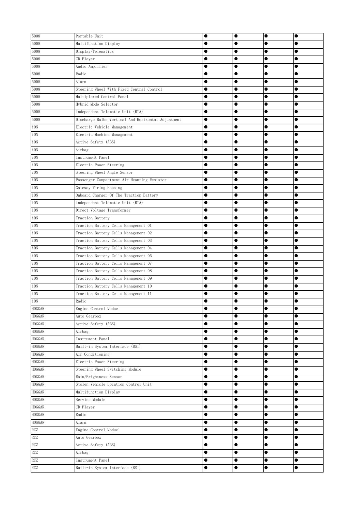| 5008                           | Portable Unit                                                  | $\bullet$      | $\bullet$              | $\bullet$ | $\bullet$ |
|--------------------------------|----------------------------------------------------------------|----------------|------------------------|-----------|-----------|
| 5008                           | Multifunction Display                                          |                | $\bullet$              | $\bullet$ |           |
| 5008                           | Display/Telematics                                             | e              | $\bullet$              | $\bullet$ | c         |
| 5008                           | CD Player                                                      |                | $\bullet$              | $\bullet$ |           |
| 5008                           | Audio Amplifier                                                | 0              |                        | $\bullet$ | e         |
| 5008                           | Radio                                                          | O              |                        | $\bullet$ |           |
| 5008                           | Alarm                                                          | 0              |                        | $\bullet$ | 0         |
| 5008                           | Steering Wheel With Fixed Central Control                      | 0              |                        |           |           |
| 5008                           | Multiplexed Control Panel                                      | 0              |                        | $\bullet$ |           |
| 5008                           | Hybrid Mode Selector                                           |                |                        | $\bullet$ | $\bullet$ |
| 5008                           | Independent Telematic Unit (BTA)                               | $\bullet$      | $\bullet$              | $\bullet$ | $\bullet$ |
| 5008                           | Discharge Bulbs Vertical And Horizontal Adjustment             | $\bullet$      | $\bullet$              | $\bullet$ | 0         |
| i ON                           | Electric Vehicle Management                                    | $\bullet$      | $\bullet$              | $\bullet$ | ●         |
| iON                            | Electric Machine Management                                    | 0              | $\bullet$              |           | 0         |
| iON                            | Active Safety (ABS)                                            | $\bullet$      | $\bullet$              | $\bullet$ | e         |
| i ON                           | Airbag                                                         |                | $\bullet$              | $\bullet$ | 0         |
| i ON                           | Instrument Panel                                               | 0              | $\bullet$              | $\bullet$ |           |
| i ON                           | Electric Power Steering                                        | 0              |                        | $\bullet$ | 0         |
| i ON                           | Steering Wheel Angle Sensor                                    | 0              | $\bullet$              |           | 0         |
| i ON                           | Passenger Compartment Air Heanting Resistor                    | $\bullet$      | $\bullet$              | $\bullet$ | 0         |
| iON                            | Gateway Wiring Housing                                         | $\bullet$      |                        |           | 0         |
| i ON                           | Onboard Charger Of The Traction Battery                        | $\bullet$      | $\bullet$              | $\bullet$ | $\bullet$ |
| i ON                           | Independent Telematic Unit (BTA)                               | $\bullet$      | $\bullet$              | $\bullet$ | $\bullet$ |
| i ON                           | Direct Voltage Transformer                                     | $\bullet$      | $\bullet$              | $\bullet$ | $\bullet$ |
| i ON                           | Traction Battery                                               |                | $\bullet$              | $\bullet$ | 0         |
| i ON                           | Traction Battery Cells Management 01                           | $\bullet$      | $\bullet$              | $\bullet$ | $\bullet$ |
| iON                            | Traction Battery Cells Management 02                           | $\bullet$      | $\bullet$              | $\bullet$ |           |
| iON                            | Traction Battery Cells Management 03                           |                | $\bullet$              | $\bullet$ | e         |
| i ON                           | Traction Battery Cells Management 04                           |                |                        | $\bullet$ |           |
| iON                            | Traction Battery Cells Management 05                           | 0              |                        | $\bullet$ |           |
| iON                            | Traction Battery Cells Management 07                           | O              |                        |           |           |
| i ON                           | Traction Battery Cells Management 08                           | 0              | $\bullet$              | $\bullet$ | 0         |
| iON                            | Traction Battery Cells Management 09                           | 0              |                        |           | 0         |
| iON                            | Traction Battery Cells Management 10                           | 0              |                        | $\bullet$ |           |
| iON                            | Traction Battery Cells Management 11                           |                |                        |           |           |
| i ON                           | Radio                                                          |                | ●                      |           | e         |
| <b>HOGGAR</b>                  | Engine Control Moduel                                          |                | $\bullet$              | $\bullet$ | 0         |
| <b>HOGGAR</b>                  | Auto Gearbox                                                   | $\bullet$      | $\bullet$              | $\bullet$ | $\bullet$ |
| <b>HOGGAR</b>                  | Active Safety (ABS)                                            | $\bullet$      | $\bullet$              | $\bullet$ | $\bullet$ |
| HOGGAR                         | Airbag                                                         | $\bullet$      | $\bullet$              | $\bullet$ | $\bullet$ |
| HOGGAR                         | Instrument Panel                                               | $\bullet$      | $\bullet$              | $\bullet$ |           |
| <b>HOGGAR</b>                  | Built-in System Interface (BSI)                                | 0              | $\bullet$              | $\bullet$ |           |
| <b>HOGGAR</b>                  | Air Conditioning                                               | 0              |                        | $\bullet$ |           |
| <b>HOGGAR</b><br><b>HOGGAR</b> | Electric Power Steering                                        | 0<br>$\bullet$ | $\bullet$<br>$\bullet$ | $\bullet$ |           |
| HOGGAR                         | Steering Wheel Switching Module                                | $\bullet$      |                        | $\bullet$ |           |
| <b>HOGGAR</b>                  | Rain/Brightness Sensor<br>Stolen Vehicle Location Control Unit |                | $\bullet$              | $\bullet$ |           |
| <b>HOGGAR</b>                  |                                                                | $\bullet$      | $\bullet$              | $\bullet$ | $\bullet$ |
| HOGGAR                         | Multifunction Display<br>Service Module                        | $\bullet$      |                        | $\bullet$ | $\bullet$ |
| HOGGAR                         | CD Player                                                      | $\bullet$      | $\bullet$              | $\bullet$ |           |
| <b>HOGGAR</b>                  | Radio                                                          | $\bullet$      | $\bullet$              | $\bullet$ | $\bullet$ |
| HOGGAR                         | Alarm                                                          |                | $\bullet$              | $\bullet$ |           |
| RCZ                            | Engine Control Moduel                                          | $\bullet$      | $\bullet$              | $\bullet$ | $\bullet$ |
| RCZ                            | Auto Gearbox                                                   |                | $\bullet$              | $\bullet$ | $\bullet$ |
| <b>RCZ</b>                     | Active Safety (ABS)                                            | $\bullet$      | $\bullet$              | $\bullet$ |           |
| RCZ                            | Airbag                                                         | 0              | $\bullet$              | $\bullet$ | 0         |
| <b>RCZ</b>                     | Instrument Panel                                               | $\bullet$      | $\bullet$              | $\bullet$ | $\bullet$ |
| <b>RCZ</b>                     | Built-in System Interface (BSI)                                | $\bullet$      | $\bullet$              | $\bullet$ | $\bullet$ |
|                                |                                                                |                |                        |           |           |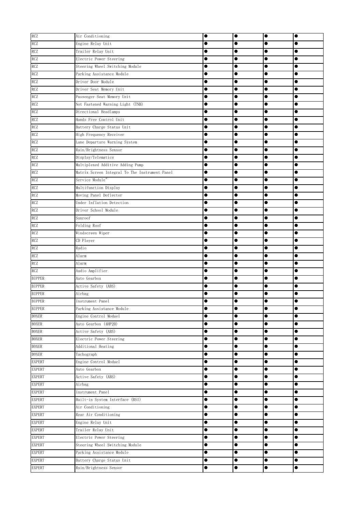| <b>RCZ</b>    | Air Conditioning                               |           | $\bullet$ | $\bullet$ |           |
|---------------|------------------------------------------------|-----------|-----------|-----------|-----------|
| RCZ           | Engine Relay Unit                              |           |           | $\bullet$ |           |
| RCZ           | Trailer Relay Unit                             |           |           | $\bullet$ |           |
| RCZ           | Electric Power Steering                        |           |           | $\bullet$ |           |
| RCZ           | Steering Wheel Switching Module                |           |           |           |           |
| RCZ           | Parking Assistance Module                      |           |           |           |           |
| <b>RCZ</b>    | Driver Door Module                             |           | $\bullet$ | $\bullet$ |           |
| <b>RCZ</b>    | Driver Seat Memory Unit                        |           |           | $\bullet$ |           |
| <b>RCZ</b>    | Passenger Seat Memory Unit                     | $\bullet$ | $\bullet$ | $\bullet$ | $\bullet$ |
| <b>RCZ</b>    | Not Fastened Warning Light (TNB)               | $\bullet$ | $\bullet$ | $\bullet$ | $\bullet$ |
| <b>RCZ</b>    | Directional Headlamps                          | $\bullet$ | $\bullet$ | $\bullet$ | $\bullet$ |
| <b>RCZ</b>    | Hands Free Control Unit                        |           | $\bullet$ |           |           |
| <b>RCZ</b>    | Battery Charge Status Unit                     |           | $\bullet$ | $\bullet$ |           |
| <b>RCZ</b>    | High Frequency Receiver                        |           | $\bullet$ | $\bullet$ |           |
| RCZ           | Lane Departure Warning System                  |           | $\bullet$ | $\bullet$ |           |
| <b>RCZ</b>    | Rain/Brightness Sensor                         | $\bullet$ | $\bullet$ | $\bullet$ | $\bullet$ |
| RCZ           | Display/Telematics                             |           | $\bullet$ | $\bullet$ |           |
| RCZ           | Multiplexed Additive Adding Pump               |           | $\bullet$ |           |           |
| <b>RCZ</b>    | Matrix Screen Integral To The Instrument Panel | $\bullet$ | $\bullet$ | $\bullet$ |           |
| <b>RCZ</b>    | Service Module"                                |           |           | $\bullet$ |           |
| <b>RCZ</b>    | Multifunction Display                          | $\bullet$ | $\bullet$ | $\bullet$ | $\bullet$ |
| <b>RCZ</b>    | Moving Panel Deflector                         | $\bullet$ | $\bullet$ | $\bullet$ | $\bullet$ |
| <b>RCZ</b>    | Under Inflation Detection                      | $\bullet$ | $\bullet$ | $\bullet$ | $\bullet$ |
| <b>RCZ</b>    | Driver School Module                           |           | $\bullet$ | $\bullet$ | $\bullet$ |
| <b>RCZ</b>    | Sunroof                                        |           | $\bullet$ | $\bullet$ | $\bullet$ |
| <b>RCZ</b>    | Folding Roof                                   |           | $\bullet$ | $\bullet$ |           |
| RCZ           | Windscreen Wiper                               |           | $\bullet$ | $\bullet$ |           |
| RCZ           | CD Player                                      |           |           | $\bullet$ |           |
| RCZ           | Radio                                          |           |           | $\bullet$ |           |
| RCZ           | Alarm                                          |           |           | $\bullet$ |           |
| <b>RCZ</b>    | Alarm                                          |           | $\bullet$ |           |           |
| <b>RCZ</b>    | Audio Amplifier                                | 0         | $\bullet$ | $\bullet$ |           |
| <b>BIPPER</b> | Auto Gearbox                                   |           | 0         |           |           |
| <b>BIPPER</b> | Active Safety (ABS)                            |           |           |           |           |
| <b>BIPPER</b> | Airbag                                         |           |           | $\bullet$ |           |
| <b>BIPPER</b> | Instrument Panel                               | 0         |           | D         |           |
| <b>BIPPER</b> | Parking Assistance Module                      | $\bullet$ | $\bullet$ | $\bullet$ | $\bullet$ |
| <b>BOXER</b>  | Engine Control Moduel                          | $\bullet$ | $\bullet$ | $\bullet$ |           |
| <b>BOXER</b>  | Auto Gearbox (4HP20)                           | $\bullet$ | $\bullet$ | $\bullet$ |           |
| <b>BOXER</b>  | Active Safety (ABS)                            | $\bullet$ | $\bullet$ | $\bullet$ | $\bullet$ |
| <b>BOXER</b>  | Electric Power Steering                        | $\bullet$ | $\bullet$ | $\bullet$ | $\bullet$ |
| <b>BOXER</b>  | Additional Heating                             | $\bullet$ | $\bullet$ | $\bullet$ |           |
| <b>BOXER</b>  | Tachograph                                     | $\bullet$ | $\bullet$ |           |           |
| <b>EXPERT</b> | Engine Control Moduel                          | $\bullet$ | $\bullet$ | $\bullet$ | $\bullet$ |
| <b>EXPERT</b> | Auto Gearbox                                   | $\bullet$ | $\bullet$ | $\bullet$ |           |
| <b>EXPERT</b> | Active Safety (ABS)                            | $\bullet$ | $\bullet$ | $\bullet$ | $\bullet$ |
| <b>EXPERT</b> | Airbag                                         | $\bullet$ | $\bullet$ | $\bullet$ | $\bullet$ |
| <b>EXPERT</b> | Instrument Panel                               | $\bullet$ | $\bullet$ | $\bullet$ | $\bullet$ |
| <b>EXPERT</b> | Built-in System Interface (BSI)                | $\bullet$ | $\bullet$ | $\bullet$ | $\bullet$ |
| <b>EXPERT</b> | Air Conditioning                               | $\bullet$ | $\bullet$ | $\bullet$ | $\bullet$ |
| <b>EXPERT</b> | Rear Air Conditioning                          | $\bullet$ | $\bullet$ | $\bullet$ |           |
| <b>EXPERT</b> | Engine Relay Unit                              | $\bullet$ | $\bullet$ | $\bullet$ | $\bullet$ |
| <b>EXPERT</b> | Trailer Relay Unit                             | $\bullet$ | $\bullet$ | $\bullet$ | $\bullet$ |
| <b>EXPERT</b> | Electric Power Steering                        | $\bullet$ | $\bullet$ | $\bullet$ | $\bullet$ |
| <b>EXPERT</b> | Steering Wheel Switching Module                | $\bullet$ | $\bullet$ | $\bullet$ | $\bullet$ |
| <b>EXPERT</b> | Parking Assistance Module                      | $\bullet$ | $\bullet$ | $\bullet$ | $\bullet$ |
| <b>EXPERT</b> | Battery Charge Status Unit                     | $\bullet$ | $\bullet$ | $\bullet$ | $\bullet$ |
| <b>EXPERT</b> | Rain/Brightness Sensor                         | $\bullet$ | $\bullet$ | $\bullet$ | $\bullet$ |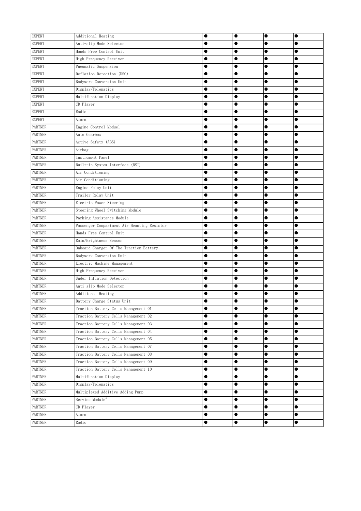| <b>EXPERT</b>  | Additional Heating                          | $\bullet$ | $\bullet$ | $\bullet$ | $\bullet$ |
|----------------|---------------------------------------------|-----------|-----------|-----------|-----------|
| <b>EXPERT</b>  | Anti-slip Mode Selector                     |           |           | 0         |           |
| <b>EXPERT</b>  | Hands Free Control Unit                     |           | $\bullet$ |           |           |
| <b>EXPERT</b>  | High Frequency Receiver                     | $\bullet$ | $\bullet$ | $\bullet$ | $\bullet$ |
| <b>EXPERT</b>  | Pneumatic Suspension                        |           | $\bullet$ | $\bullet$ |           |
| <b>EXPERT</b>  | Deflation Detection (DSG)                   | $\bullet$ |           | $\bullet$ |           |
| <b>EXPERT</b>  | Bodywork Conversion Unit                    | $\bullet$ | $\bullet$ | $\bullet$ |           |
| <b>EXPERT</b>  | Display/Telematics                          |           | $\bullet$ | $\bullet$ | $\bullet$ |
| <b>EXPERT</b>  | Multifunction Display                       |           | $\bullet$ | $\bullet$ |           |
| <b>EXPERT</b>  | CD Player                                   | $\bullet$ | $\bullet$ | $\bullet$ | $\bullet$ |
| <b>EXPERT</b>  | Radio                                       | $\bullet$ | $\bullet$ | $\bullet$ | $\bullet$ |
| <b>EXPERT</b>  | Alarm                                       | $\bullet$ | $\bullet$ | $\bullet$ | $\bullet$ |
| <b>PARTNER</b> | Engine Control Moduel                       | $\bullet$ | $\bullet$ | $\bullet$ |           |
| <b>PARTNER</b> | Auto Gearbox                                | $\bullet$ | $\bullet$ | $\bullet$ |           |
| <b>PARTNER</b> | Active Safety (ABS)                         | $\bullet$ | $\bullet$ | $\bullet$ |           |
| <b>PARTNER</b> | Airbag                                      |           | $\bullet$ | $\bullet$ |           |
| <b>PARTNER</b> | Instrument Panel                            | $\bullet$ | $\bullet$ | $\bullet$ |           |
| <b>PARTNER</b> | Built-in System Interface (BSI)             | $\bullet$ | $\bullet$ | $\bullet$ | $\bullet$ |
| <b>PARTNER</b> | Air Conditioning                            | $\bullet$ | $\bullet$ | $\bullet$ |           |
| <b>PARTNER</b> | Air Conditioning                            | $\bullet$ | $\bullet$ | $\bullet$ | $\bullet$ |
| <b>PARTNER</b> | Engine Relay Unit                           | $\bullet$ | $\bullet$ | $\bullet$ | $\bullet$ |
| <b>PARTNER</b> | Trailer Relay Unit                          | $\bullet$ | $\bullet$ | $\bullet$ | $\bullet$ |
| <b>PARTNER</b> | Electric Power Steering                     | $\bullet$ | $\bullet$ | $\bullet$ | $\bullet$ |
| <b>PARTNER</b> | Steering Wheel Switching Module             | $\bullet$ | $\bullet$ | $\bullet$ | $\bullet$ |
| <b>PARTNER</b> | Parking Assistance Module                   | $\bullet$ | $\bullet$ | $\bullet$ | $\bullet$ |
| <b>PARTNER</b> | Passenger Compartment Air Heanting Resistor | $\bullet$ | $\bullet$ | $\bullet$ |           |
| <b>PARTNER</b> | Hands Free Control Unit                     |           | $\bullet$ | $\bullet$ |           |
| <b>PARTNER</b> | Rain/Brightness Sensor                      |           | $\bullet$ | $\bullet$ |           |
| <b>PARTNER</b> | Onboard Charger Of The Traction Battery     |           | $\bullet$ | $\bullet$ |           |
| <b>PARTNER</b> | Bodywork Conversion Unit                    |           |           |           |           |
| <b>PARTNER</b> | Electric Machine Management                 |           |           | $\bullet$ |           |
| <b>PARTNER</b> | High Frequency Receiver                     | $\bullet$ | $\bullet$ | $\bullet$ |           |
| <b>PARTNER</b> | Under Inflation Detection                   | $\bullet$ | $\bullet$ | $\bullet$ | $\bullet$ |
| <b>PARTNER</b> | Anti-slip Mode Selector                     |           | $\bullet$ | $\bullet$ |           |
| <b>PARTNER</b> | Additional Heating                          |           | $\bullet$ |           |           |
| <b>PARTNER</b> | Battery Charge Status Unit                  |           |           |           |           |
| <b>PARTNER</b> | Traction Battery Cells Management 01        | $\bullet$ | $\bullet$ | $\bullet$ | $\bullet$ |
| <b>PARTNER</b> | Traction Battery Cells Management 02        | $\bullet$ | $\bullet$ | $\bullet$ | $\bullet$ |
| <b>PARTNER</b> | Traction Battery Cells Management 03        | $\bullet$ | $\bullet$ | $\bullet$ | $\bullet$ |
| <b>PARTNER</b> | Traction Battery Cells Management 04        | $\bullet$ | $\bullet$ | $\bullet$ | $\bullet$ |
| <b>PARTNER</b> | Traction Battery Cells Management 05        | $\bullet$ | $\bullet$ | $\bullet$ | $\bullet$ |
| <b>PARTNER</b> | Traction Battery Cells Management 07        | $\bullet$ | $\bullet$ | $\bullet$ | $\bullet$ |
| <b>PARTNER</b> | Traction Battery Cells Management 08        | $\bullet$ | $\bullet$ | $\bullet$ | $\bullet$ |
| <b>PARTNER</b> | Traction Battery Cells Management 09        | $\bullet$ | $\bullet$ | $\bullet$ | $\bullet$ |
| <b>PARTNER</b> | Traction Battery Cells Management 10        | $\bullet$ | $\bullet$ | $\bullet$ | $\bullet$ |
| <b>PARTNER</b> | Multifunction Display                       | $\bullet$ | $\bullet$ | $\bullet$ | $\bullet$ |
| <b>PARTNER</b> | Display/Telematics                          | $\bullet$ | $\bullet$ | $\bullet$ | $\bullet$ |
| <b>PARTNER</b> | Multiplexed Additive Adding Pump            | $\bullet$ | $\bullet$ | $\bullet$ | $\bullet$ |
| <b>PARTNER</b> | Service Module"                             | $\bullet$ | $\bullet$ | $\bullet$ | $\bullet$ |
| <b>PARTNER</b> | CD Player                                   | $\bullet$ | $\bullet$ | $\bullet$ | $\bullet$ |
| <b>PARTNER</b> | Alarm                                       | $\bullet$ | $\bullet$ | $\bullet$ | $\bullet$ |
| <b>PARTNER</b> | Radio                                       | $\bullet$ | $\bullet$ | $\bullet$ | $\bullet$ |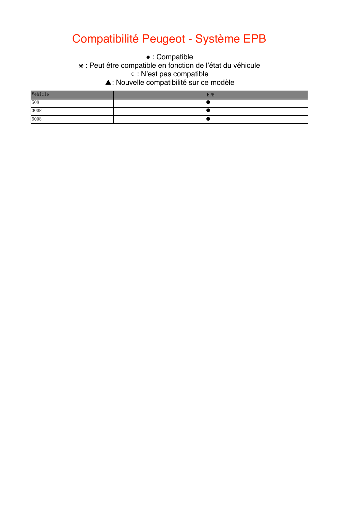### Compatibilité Peugeot - Système EPB

• : Compatible

\* : Peut être compatible en fonction de l'état du véhicule

 $\circ$  : N'est pas compatible.

 $\Delta$  This function is not supported. ▲: Nouvelle compatibilité sur ce modèle

| Vehicle | <b>EPB</b> |
|---------|------------|
| 508     |            |
| 3008    |            |
| 5008    |            |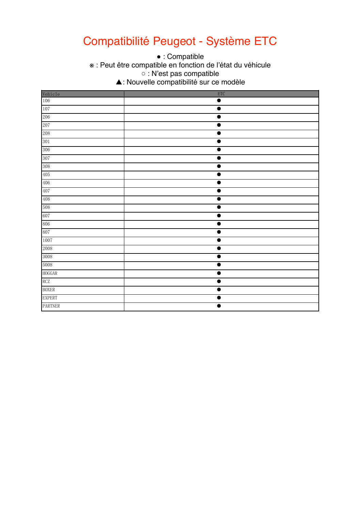### Compatibilité Peugeot - Système ETC

• : Compatible

\* : Peut être compatible en fonction de l'état du véhicule  $\circ$  : N'est pas compatible.

▲: Nouvelle compatibilité sur ce modèle

|                | <b>ETC</b>           |
|----------------|----------------------|
| Vehicle<br>106 |                      |
| 107            | $\bullet$            |
| 206            | ●                    |
| 207            | 0                    |
| $208\,$        | $\bullet$            |
| 301            | ●                    |
| 306            | $\bullet$            |
| 307            | $\bullet$            |
| 308            | $\bullet$            |
| 405            | $\bullet$            |
| 406            | 0                    |
| 407            | $\bullet$            |
| 408            | $\bullet$            |
| 508            | ●                    |
| 607            | $\bullet$            |
| 806            | ●                    |
| 807            | ●                    |
| 1007           | ●                    |
| 2008           | $\bullet$            |
| 3008           | $\bullet$            |
| 5008           | $\bullet$            |
| ${\tt HOGGAR}$ | $\bullet$            |
| RCZ            | ●                    |
| <b>BOXER</b>   | $\bullet$            |
| <b>EXPERT</b>  | $\bullet$            |
| PARTNER        | $\overline{\bullet}$ |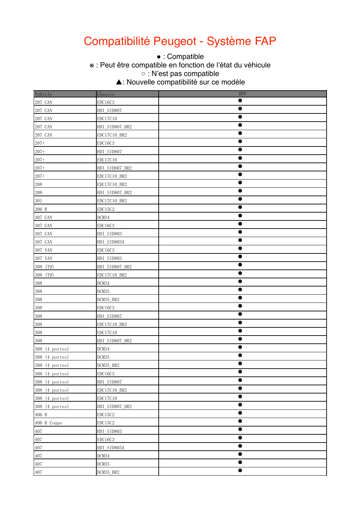### Compatibilité Peugeot - Système FAP

• : Compatible

\* : Peut être compatible en fonction de l'état du véhicule

○ : N'est pas compatible

 $\sim$  This function is not supported. ▲: Nouvelle compatibilité sur ce modèle

| Vehicle        | Chassis        | <b>DPF</b> |
|----------------|----------------|------------|
| 207 CAN        | EDC16C3        | $\bullet$  |
| 207 CAN        | HDI_SID807     | $\bullet$  |
| 207 CAN        | EDC17C10       |            |
| 207 CAN        | HDI_SID807_BR2 |            |
| 207 CAN        | EDC17C10_BR2   |            |
| $207 +$        | EDC16C3        |            |
| $207 +$        | HDI_SID807     |            |
| $207 +$        | EDC17C10       |            |
| $207 +$        | HDI_SID807_BR2 | $\bullet$  |
| $207 +$        | EDC17C10_BR2   | $\bullet$  |
| 208            | EDC17C10_BR2   |            |
| 208            | HDI_SID807_BR2 |            |
| 301            | EDC17C10_BR2   | $\bullet$  |
| 306 R          | EDC15C2        |            |
| 307 CAN        | DCM34          |            |
| 307 CAN        | EDC16C3        | $\bullet$  |
| 307 CAN        | HDI_SID803     | $\bullet$  |
| 307 CAN        | HDI_SID803A    |            |
| 307 VAN        | EDC16C3        |            |
| 307 VAN        | HDI_SID803     |            |
| 308 (T9)       | HDI_SID807_BR2 |            |
| 308 (T9)       | EDC17C10_BR2   |            |
| 308            | DCM34          |            |
| $308\,$        | DCM35          | $\bullet$  |
| 308            | DCM35_BR2      | $\bullet$  |
| $308\,$        | EDC16C3        |            |
| 308            | HDI_SID807     |            |
| 308            | EDC17C10_BR2   |            |
| 308            | EDC17C10       |            |
| 308            | HDI_SID807_BR2 |            |
| 308 (4 portes) | DCM34          | $\bullet$  |
| 308 (4 portes) | DCM35          | $\bullet$  |
| 308 (4 portes) | DCM35_BR2      |            |
| 308 (4 portes) | EDC16C3        | $\bullet$  |
| 308 (4 portes) | HDI_SID807     | $\bullet$  |
| 308 (4 portes) | EDC17C10_BR2   | $\bullet$  |
| 308 (4 portes) | EDC17C10       | $\bullet$  |
| 308 (4 portes) | HDI_SID807_BR2 | $\bullet$  |
| 406 R          | EDC15C2        | $\bullet$  |
| 406 R Coupe    | EDC15C2        | $\bullet$  |
| 407            | HDI_SID803     | $\bullet$  |
| 407            | EDC16C3        | $\bullet$  |
| 407            | HDI_SID803A    | $\bullet$  |
| 407            | DCM34          | $\bullet$  |
| 407            | DCM35          | ●          |
| 407            | DCM35_BR2      |            |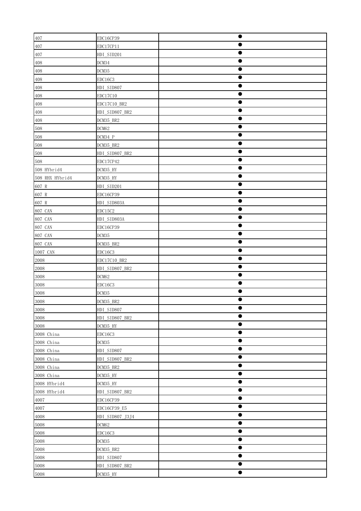| 407             | EDC16CP39       | $\bullet$ |
|-----------------|-----------------|-----------|
| 407             | EDC17CP11       |           |
| 407             | HDI_SID201      |           |
| 408             | DCM34           |           |
| 408             | DCM35           | O         |
| 408             | EDC16C3         | $\bullet$ |
| 408             | HDI_SID807      | $\bullet$ |
| 408             | EDC17C10        | ●         |
| 408             | EDC17C10_BR2    |           |
| 408             | HDI_SID807_BR2  | ●         |
| 408             | DCM35_BR2       | ●         |
| 508             | DCM62           |           |
| 508             | DCM34_P         | 0         |
| 508             | DCM35_BR2       | $\bullet$ |
| 508             | HDI_SID807_BR2  | ●         |
| 508             | EDC17CP42       |           |
| 508 HYbrid4     | DCM35_HY        |           |
| 508 RHX HYbrid4 | DCM35_HY        |           |
| 607 R           | HDI_SID201      | ●         |
| 607 R           | EDC16CP39       |           |
| 607 R           | HDI_SID803A     |           |
| 807 CAN         | EDC15C2         | $\bullet$ |
| 807 CAN         | HDI_SID803A     | $\bullet$ |
| 807 CAN         | EDC16CP39       |           |
| 807 CAN         | DCM35           |           |
| 807 CAN         | DCM35_BR2       | $\bullet$ |
| 1007 CAN        | EDC16C3         |           |
| 2008            | EDC17C10_BR2    |           |
| 2008            | HDI_SID807_BR2  |           |
| 3008            | DCM62           | $\bullet$ |
| 3008            | EDC16C3         |           |
| 3008            | DCM35           | 0         |
| 3008            | DCM35_BR2       | 0         |
| 3008            | HDI_SID807      |           |
| 3008            | HDI_SID807_BR2  |           |
| 3008            | DCM35_HY        | œ         |
| 3008 China      | EDC16C3         |           |
| 3008 China      | DCM35           | ●         |
| 3008 China      | HDI_SID807      |           |
| 3008 China      | HDI_SID807_BR2  |           |
| 3008 China      | DCM35_BR2       | $\bullet$ |
| 3008 China      | DCM35_HY        | $\bullet$ |
| 3008 HYbrid4    | DCM35_HY        |           |
| 3008 HYbrid4    | HDI_SID807_BR2  |           |
| 4007            | EDC16CP39       | $\bullet$ |
| 4007            | EDC16CP39_E5    |           |
| 4008            | HDI_SID807_J3J4 |           |
| 5008            | DCM62           | $\bullet$ |
| 5008            | EDC16C3         | $\bullet$ |
| 5008            | DCM35           | $\bullet$ |
| 5008            | DCM35_BR2       |           |
| 5008            | HDI_SID807      |           |
| 5008            | HDI_SID807_BR2  | $\bullet$ |
| 5008            | DCM35_HY        | $\bullet$ |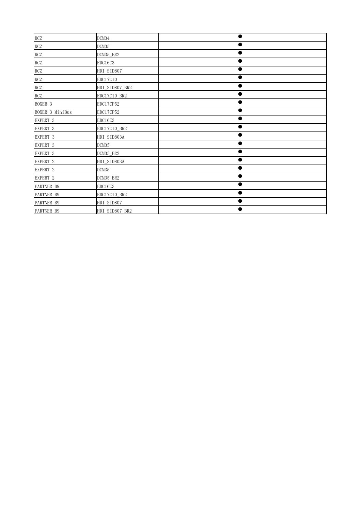| RCZ             | DCM34          |  |
|-----------------|----------------|--|
| RCZ             | DCM35          |  |
| RCZ             | DCM35 BR2      |  |
| RCZ             | EDC16C3        |  |
| <b>RCZ</b>      | HDI SID807     |  |
| RCZ             | EDC17C10       |  |
| RCZ             | HDI SID807 BR2 |  |
| RCZ             | EDC17C10 BR2   |  |
| BOXER 3         | EDC17CP52      |  |
| BOXER 3 MiniBus | EDC17CP52      |  |
| EXPERT 3        | EDC16C3        |  |
| EXPERT 3        | EDC17C10 BR2   |  |
| EXPERT 3        | HDI SID803A    |  |
| EXPERT 3        | DCM35          |  |
| EXPERT 3        | DCM35 BR2      |  |
| EXPERT 2        | HDI SID803A    |  |
| EXPERT 2        | DCM35          |  |
| EXPERT 2        | DCM35 BR2      |  |
| PARTNER B9      | EDC16C3        |  |
| PARTNER B9      | EDC17C10 BR2   |  |
| PARTNER B9      | HDI SID807     |  |
| PARTNER B9      | HDI SID807 BR2 |  |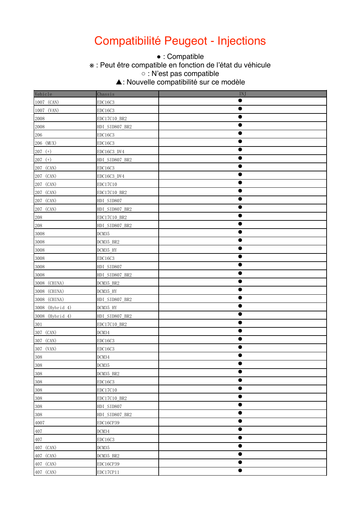### Compatibilité Peugeot - Injections

• : Compatible

\* : Peut être compatible en fonction de l'état du véhicule

○ : N'est pas compatible

 $\sim$  This function is not supported. ▲: Nouvelle compatibilité sur ce modèle

| Vehicle         | Chassis        | INJ       |
|-----------------|----------------|-----------|
| 1007 (CAN)      | EDC16C3        | $\bullet$ |
| 1007 (VAN)      | EDC16C3        |           |
| 2008            | EDC17C10_BR2   |           |
| 2008            | HDI_SID807_BR2 |           |
| $206\,$         | EDC16C3        | $\bullet$ |
| 206 (MUX)       | EDC16C3        |           |
| $207$ (+)       | EDC16C3_DV4    | $\bullet$ |
| $207$ (+)       | HDI_SID807_BR2 | $\bullet$ |
| 207 (CAN)       | EDC16C3        | $\bullet$ |
| 207 (CAN)       | EDC16C3_DV4    |           |
| 207 (CAN)       | EDC17C10       |           |
| 207 (CAN)       | EDC17C10_BR2   |           |
| 207 (CAN)       | HDI_SID807     |           |
| 207 (CAN)       | HDI_SID807_BR2 |           |
| 208             | EDC17C10_BR2   |           |
| 208             | HDI_SID807_BR2 | $\bullet$ |
| 3008            | DCM35          | $\bullet$ |
| 3008            | DCM35_BR2      |           |
| 3008            | DCM35_HY       |           |
| 3008            | EDC16C3        | $\bullet$ |
| 3008            | HDI_SID807     |           |
| 3008            | HDI_SID807_BR2 |           |
| 3008 (CHINA)    | DCM35_BR2      | $\bullet$ |
| 3008 (CHINA)    | DCM35_HY       | $\bullet$ |
| 3008 (CHINA)    | HDI_SID807_BR2 | ●         |
| 3008 (Hybrid 4) | DCM35_HY       | O         |
| 3008 (Hybrid 4) | HDI_SID807_BR2 |           |
| 301             | EDC17C10_BR2   |           |
| 307 (CAN)       | DCM34          |           |
| 307 (CAN)       | EDC16C3        | $\bullet$ |
| 307 (VAN)       | EDC16C3        | $\bullet$ |
| 308             | DCM34          | $\bullet$ |
| 308             | DCM35          |           |
| 308             | DCM35_BR2      | $\bullet$ |
| 308             | EDC16C3        | $\bullet$ |
| 308             | EDC17C10       | $\bullet$ |
| $308\,$         | EDC17C10_BR2   | $\bullet$ |
| 308             | HDI_SID807     |           |
| $308\,$         | HDI_SID807_BR2 | $\bullet$ |
| 4007            | EDC16CP39      | 0         |
| 407             | DCM34          | ●         |
| 407             | EDC16C3        | $\bullet$ |
| 407 (CAN)       | DCM35          | $\bullet$ |
| 407 (CAN)       | DCM35_BR2      | $\bullet$ |
| 407 (CAN)       | EDC16CP39      | ●         |
| 407 (CAN)       | EDC17CP11      |           |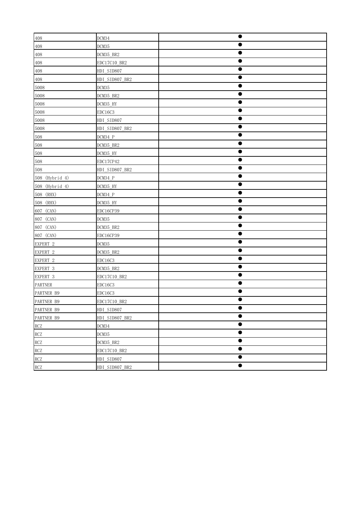| 408            | DCM34          | $\bullet$ |
|----------------|----------------|-----------|
| 408            | DCM35          | e         |
| 408            | DCM35 BR2      |           |
| 408            | EDC17C10_BR2   |           |
| 408            | HDI_SID807     |           |
| 408            | HDI_SID807_BR2 | $\bullet$ |
| 5008           | DCM35          | $\bullet$ |
| 5008           | DCM35_BR2      |           |
| 5008           | DCM35_HY       | O         |
| 5008           | EDC16C3        | ●         |
| 5008           | HDI SID807     |           |
| 5008           | HDI_SID807_BR2 |           |
| 508            | DCM34_P        |           |
| 508            | DCM35_BR2      | $\bullet$ |
| 508            | DCM35_HY       |           |
| 508            | EDC17CP42      |           |
| 508            | HDI_SID807_BR2 |           |
| 508 (Hybrid 4) | $DCM34_P$      | $\bullet$ |
| 508 (Hybrid 4) | DCM35_HY       | 0         |
| 508 (RHX)      | $DCM34_P$      | $\bullet$ |
| 508 (RHX)      | DCM35_HY       | $\bullet$ |
| 607 (CAN)      | EDC16CP39      | $\bullet$ |
| 807 (CAN)      | DCM35          |           |
| 807 (CAN)      | DCM35_BR2      |           |
| 807 (CAN)      | EDC16CP39      |           |
| EXPERT 2       | DCM35          |           |
| EXPERT 2       | DCM35_BR2      |           |
| EXPERT 2       | EDC16C3        | O         |
| EXPERT 3       | DCM35_BR2      | $\bullet$ |
| EXPERT 3       | EDC17C10_BR2   | 0         |
| PARTNER        | EDC16C3        |           |
| PARTNER B9     | EDC16C3        |           |
| PARTNER B9     | EDC17C10_BR2   |           |
| PARTNER B9     | HDI_SID807     |           |
| PARTNER B9     | HDI_SID807_BR2 |           |
| RCZ            | DCM34          |           |
| RCZ            | DCM35          |           |
| RCZ            | DCM35_BR2      | $\bullet$ |
| RCZ            | EDC17C10_BR2   | e         |
| RCZ            | HDI_SID807     | $\bullet$ |
| RCZ            | HDI_SID807_BR2 | $\bullet$ |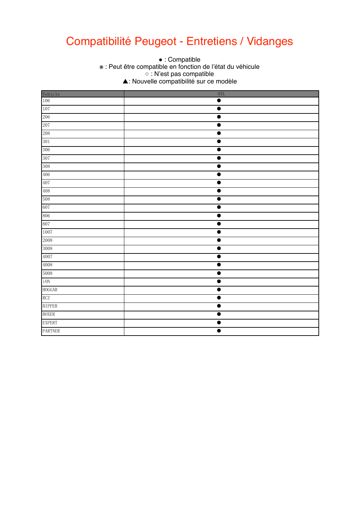### Compatibilité Peugeot - Entretiens / Vidanges

● This function is supported. ※ : Peut être compatible en fonction de l'état du véhicule.<br>
△ : N'est nes compatible. ○ This function is not supported.  $\bullet$  : Compatible ○ : N'est pas compatible ▲: Nouvelle compatibilité sur ce modèle

|                | $0$ IL    |
|----------------|-----------|
| Vehicle<br>106 | $\bullet$ |
| $107\,$        | $\bullet$ |
| 206            | $\bullet$ |
| 207            | $\bullet$ |
| 208            | $\bullet$ |
| 301            | $\bullet$ |
| 306            | ●         |
| 307            | $\bullet$ |
| 308            |           |
| 406            | ●         |
| 407            | ●         |
| 408            | $\bullet$ |
| 508            |           |
| 607            | $\bullet$ |
| 806            | $\bullet$ |
| 807            | $\bullet$ |
| 1007           | ۰         |
| $2008\,$       | 0         |
| 3008           | $\bullet$ |
| 4007           | $\bullet$ |
| 4008           | $\bullet$ |
| 5008           | $\bullet$ |
| $\rm i$ ON     | $\bullet$ |
| ${\tt HOGGAR}$ | 1         |
| RCZ            | $\bullet$ |
| <b>BIPPER</b>  | $\bullet$ |
| <b>BOXER</b>   | $\bullet$ |
| <b>EXPERT</b>  | $\bullet$ |
| <b>PARTNER</b> | $\bullet$ |